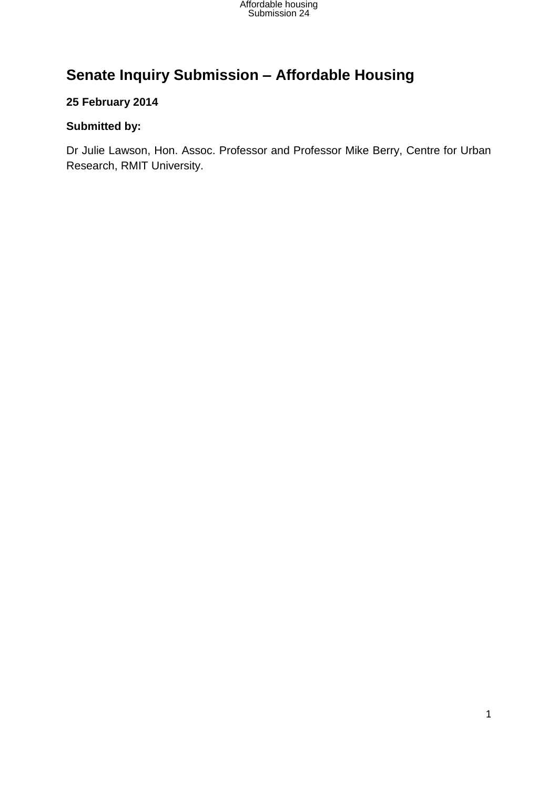

# **Senate Inquiry Submission – Affordable Housing**

### **25 February 2014**

### **Submitted by:**

Dr Julie Lawson, Hon. Assoc. Professor and Professor Mike Berry, Centre for Urban Research, RMIT University.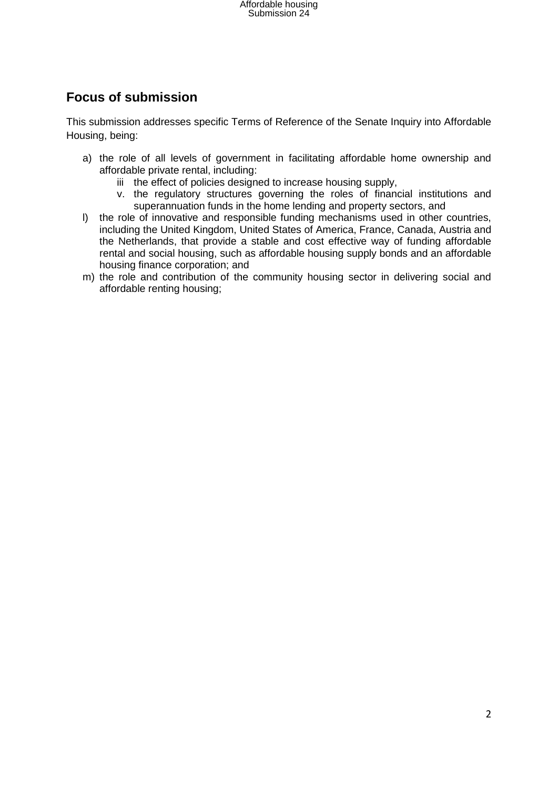## **Focus of submission**

This submission addresses specific Terms of Reference of the Senate Inquiry into Affordable Housing, being:

- a) the role of all levels of government in facilitating affordable home ownership and affordable private rental, including:
	- iii the effect of policies designed to increase housing supply,
	- v. the regulatory structures governing the roles of financial institutions and superannuation funds in the home lending and property sectors, and
- l) the role of innovative and responsible funding mechanisms used in other countries, including the United Kingdom, United States of America, France, Canada, Austria and the Netherlands, that provide a stable and cost effective way of funding affordable rental and social housing, such as affordable housing supply bonds and an affordable housing finance corporation; and
- m) the role and contribution of the community housing sector in delivering social and affordable renting housing;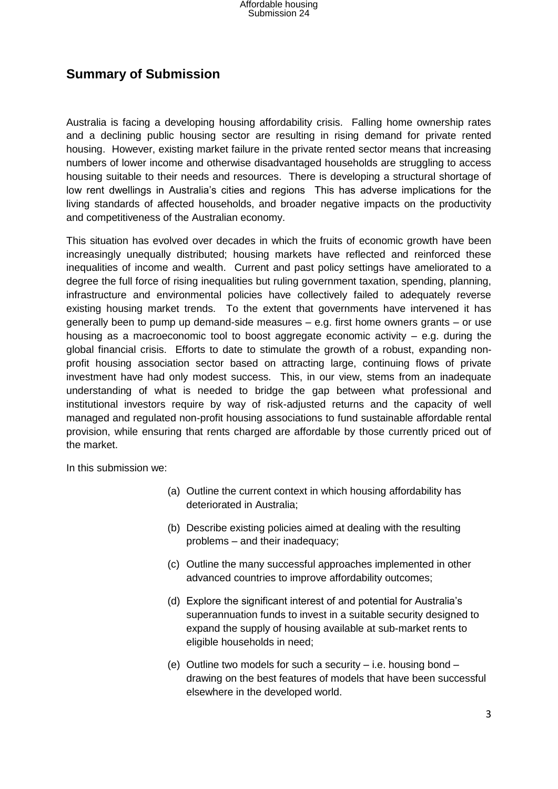### **Summary of Submission**

Australia is facing a developing housing affordability crisis. Falling home ownership rates and a declining public housing sector are resulting in rising demand for private rented housing. However, existing market failure in the private rented sector means that increasing numbers of lower income and otherwise disadvantaged households are struggling to access housing suitable to their needs and resources. There is developing a structural shortage of low rent dwellings in Australia's cities and regions This has adverse implications for the living standards of affected households, and broader negative impacts on the productivity and competitiveness of the Australian economy.

This situation has evolved over decades in which the fruits of economic growth have been increasingly unequally distributed; housing markets have reflected and reinforced these inequalities of income and wealth. Current and past policy settings have ameliorated to a degree the full force of rising inequalities but ruling government taxation, spending, planning, infrastructure and environmental policies have collectively failed to adequately reverse existing housing market trends. To the extent that governments have intervened it has generally been to pump up demand-side measures – e.g. first home owners grants – or use housing as a macroeconomic tool to boost aggregate economic activity  $-$  e.g. during the global financial crisis. Efforts to date to stimulate the growth of a robust, expanding nonprofit housing association sector based on attracting large, continuing flows of private investment have had only modest success. This, in our view, stems from an inadequate understanding of what is needed to bridge the gap between what professional and institutional investors require by way of risk-adjusted returns and the capacity of well managed and regulated non-profit housing associations to fund sustainable affordable rental provision, while ensuring that rents charged are affordable by those currently priced out of the market.

In this submission we:

- (a) Outline the current context in which housing affordability has deteriorated in Australia;
- (b) Describe existing policies aimed at dealing with the resulting problems – and their inadequacy;
- (c) Outline the many successful approaches implemented in other advanced countries to improve affordability outcomes;
- (d) Explore the significant interest of and potential for Australia's superannuation funds to invest in a suitable security designed to expand the supply of housing available at sub-market rents to eligible households in need;
- (e) Outline two models for such a security i.e. housing bond drawing on the best features of models that have been successful elsewhere in the developed world.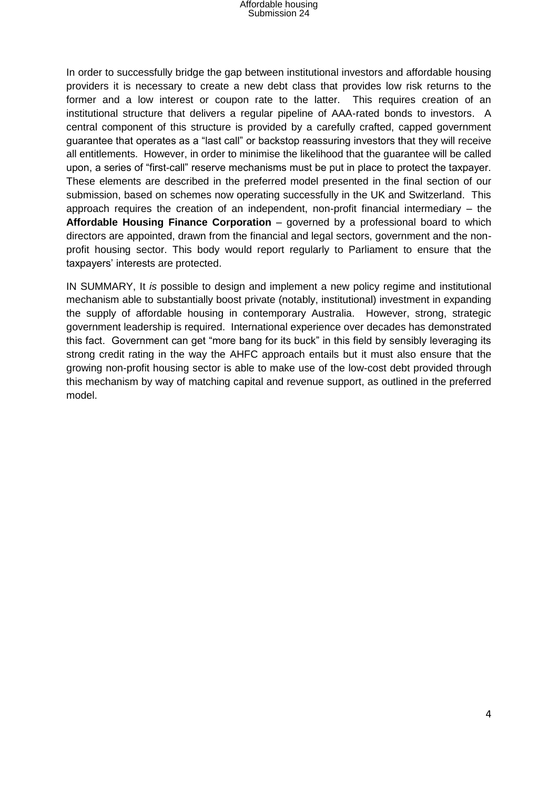In order to successfully bridge the gap between institutional investors and affordable housing providers it is necessary to create a new debt class that provides low risk returns to the former and a low interest or coupon rate to the latter. This requires creation of an institutional structure that delivers a regular pipeline of AAA-rated bonds to investors. A central component of this structure is provided by a carefully crafted, capped government guarantee that operates as a "last call" or backstop reassuring investors that they will receive all entitlements. However, in order to minimise the likelihood that the guarantee will be called upon, a series of "first-call" reserve mechanisms must be put in place to protect the taxpayer. These elements are described in the preferred model presented in the final section of our submission, based on schemes now operating successfully in the UK and Switzerland. This approach requires the creation of an independent, non-profit financial intermediary – the **Affordable Housing Finance Corporation** – governed by a professional board to which directors are appointed, drawn from the financial and legal sectors, government and the nonprofit housing sector. This body would report regularly to Parliament to ensure that the taxpayers' interests are protected.

IN SUMMARY, It *is* possible to design and implement a new policy regime and institutional mechanism able to substantially boost private (notably, institutional) investment in expanding the supply of affordable housing in contemporary Australia. However, strong, strategic government leadership is required. International experience over decades has demonstrated this fact. Government can get "more bang for its buck" in this field by sensibly leveraging its strong credit rating in the way the AHFC approach entails but it must also ensure that the growing non-profit housing sector is able to make use of the low-cost debt provided through this mechanism by way of matching capital and revenue support, as outlined in the preferred model.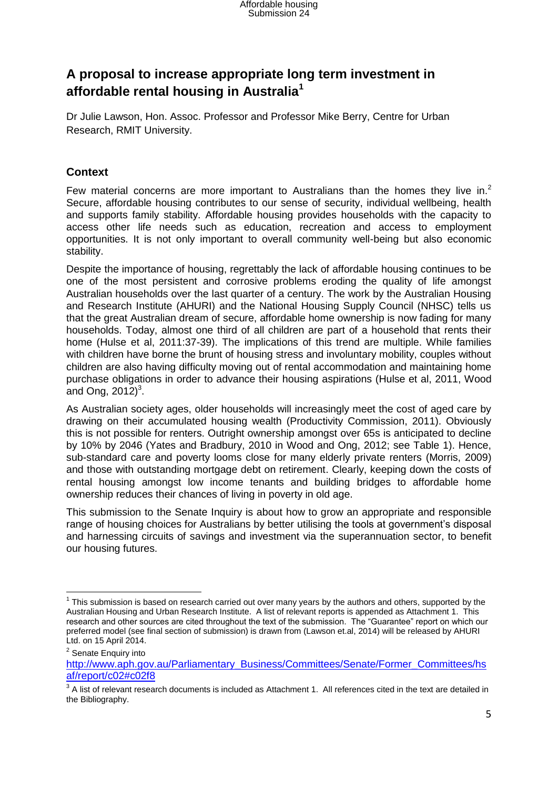## **A proposal to increase appropriate long term investment in affordable rental housing in Australia<sup>1</sup>**

Dr Julie Lawson, Hon. Assoc. Professor and Professor Mike Berry, Centre for Urban Research, RMIT University.

### **Context**

Few material concerns are more important to Australians than the homes they live in.<sup>2</sup> Secure, affordable housing contributes to our sense of security, individual wellbeing, health and supports family stability. Affordable housing provides households with the capacity to access other life needs such as education, recreation and access to employment opportunities. It is not only important to overall community well-being but also economic stability.

Despite the importance of housing, regrettably the lack of affordable housing continues to be one of the most persistent and corrosive problems eroding the quality of life amongst Australian households over the last quarter of a century. The work by the Australian Housing and Research Institute (AHURI) and the National Housing Supply Council (NHSC) tells us that the great Australian dream of secure, affordable home ownership is now fading for many households. Today, almost one third of all children are part of a household that rents their home (Hulse et al, 2011:37-39). The implications of this trend are multiple. While families with children have borne the brunt of housing stress and involuntary mobility, couples without children are also having difficulty moving out of rental accommodation and maintaining home purchase obligations in order to advance their housing aspirations (Hulse et al, 2011, Wood and Ong,  $2012)^3$ .

As Australian society ages, older households will increasingly meet the cost of aged care by drawing on their accumulated housing wealth (Productivity Commission, 2011). Obviously this is not possible for renters. Outright ownership amongst over 65s is anticipated to decline by 10% by 2046 (Yates and Bradbury, 2010 in Wood and Ong, 2012; see Table 1). Hence, sub-standard care and poverty looms close for many elderly private renters (Morris, 2009) and those with outstanding mortgage debt on retirement. Clearly, keeping down the costs of rental housing amongst low income tenants and building bridges to affordable home ownership reduces their chances of living in poverty in old age.

This submission to the Senate Inquiry is about how to grow an appropriate and responsible range of housing choices for Australians by better utilising the tools at government's disposal and harnessing circuits of savings and investment via the superannuation sector, to benefit our housing futures.

**.** 

 $1$  This submission is based on research carried out over many years by the authors and others, supported by the Australian Housing and Urban Research Institute. A list of relevant reports is appended as Attachment 1. This research and other sources are cited throughout the text of the submission. The "Guarantee" report on which our preferred model (see final section of submission) is drawn from (Lawson et.al, 2014) will be released by AHURI Ltd. on 15 April 2014.

<sup>&</sup>lt;sup>2</sup> Senate Enquiry into

[http://www.aph.gov.au/Parliamentary\\_Business/Committees/Senate/Former\\_Committees/hs](http://www.aph.gov.au/Parliamentary_Business/Committees/Senate/Former_Committees/hsaf/report/c02#c02f8) [af/report/c02#c02f8](http://www.aph.gov.au/Parliamentary_Business/Committees/Senate/Former_Committees/hsaf/report/c02#c02f8)

 $3$  A list of relevant research documents is included as Attachment 1. All references cited in the text are detailed in the Bibliography.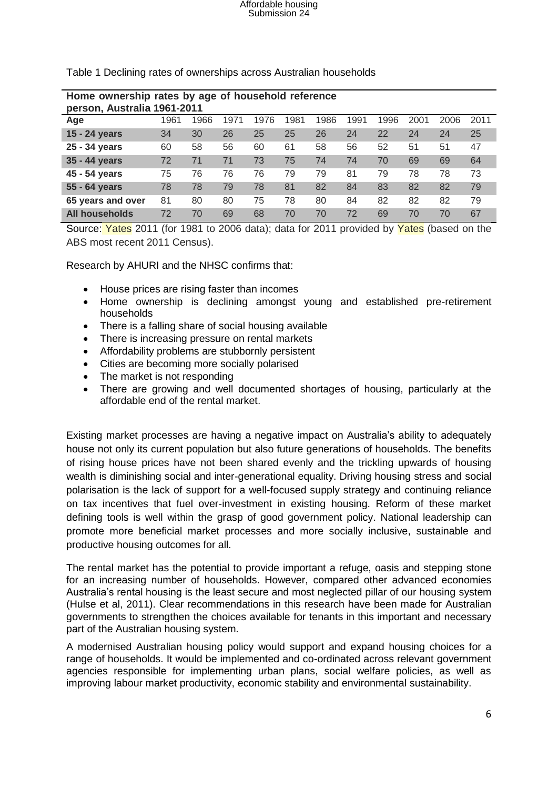| Home ownership rates by age of household reference<br>person, Australia 1961-2011 |      |      |      |      |      |      |      |      |      |      |      |
|-----------------------------------------------------------------------------------|------|------|------|------|------|------|------|------|------|------|------|
| Age                                                                               | 1961 | 1966 | 1971 | 1976 | 1981 | 1986 | 1991 | 1996 | 2001 | 2006 | 2011 |
| 15 - 24 years                                                                     | 34   | 30   | 26   | 25   | 25   | 26   | 24   | 22   | 24   | 24   | 25   |
| 25 - 34 years                                                                     | 60   | 58   | 56   | 60   | 61   | 58   | 56   | 52   | 51   | 51   | 47   |
| 35 - 44 years                                                                     | 72   | 71   | 71   | 73   | 75   | 74   | 74   | 70   | 69   | 69   | 64   |
| 45 - 54 years                                                                     | 75   | 76   | 76   | 76   | 79   | 79   | 81   | 79   | 78   | 78   | 73   |
| 55 - 64 years                                                                     | 78   | 78   | 79   | 78   | 81   | 82   | 84   | 83   | 82   | 82   | 79   |
| 65 years and over                                                                 | 81   | 80   | 80   | 75   | 78   | 80   | 84   | 82   | 82   | 82   | 79   |
| All households                                                                    | 72   | 70   | 69   | 68   | 70   | 70   | 72   | 69   | 70   | 70   | 67   |

Table 1 Declining rates of ownerships across Australian households

Source: Yates 2011 (for 1981 to 2006 data); data for 2011 provided by Yates (based on the ABS most recent 2011 Census).

Research by AHURI and the NHSC confirms that:

- House prices are rising faster than incomes
- Home ownership is declining amongst young and established pre-retirement households
- There is a falling share of social housing available
- There is increasing pressure on rental markets
- Affordability problems are stubbornly persistent
- Cities are becoming more socially polarised
- The market is not responding
- There are growing and well documented shortages of housing, particularly at the affordable end of the rental market.

Existing market processes are having a negative impact on Australia's ability to adequately house not only its current population but also future generations of households. The benefits of rising house prices have not been shared evenly and the trickling upwards of housing wealth is diminishing social and inter-generational equality. Driving housing stress and social polarisation is the lack of support for a well-focused supply strategy and continuing reliance on tax incentives that fuel over-investment in existing housing. Reform of these market defining tools is well within the grasp of good government policy. National leadership can promote more beneficial market processes and more socially inclusive, sustainable and productive housing outcomes for all.

The rental market has the potential to provide important a refuge, oasis and stepping stone for an increasing number of households. However, compared other advanced economies Australia's rental housing is the least secure and most neglected pillar of our housing system (Hulse et al, 2011). Clear recommendations in this research have been made for Australian governments to strengthen the choices available for tenants in this important and necessary part of the Australian housing system.

A modernised Australian housing policy would support and expand housing choices for a range of households. It would be implemented and co-ordinated across relevant government agencies responsible for implementing urban plans, social welfare policies, as well as improving labour market productivity, economic stability and environmental sustainability.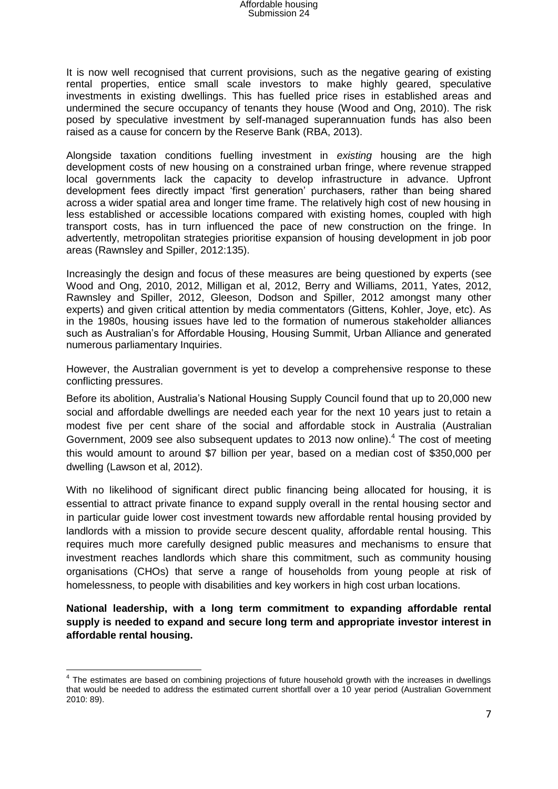It is now well recognised that current provisions, such as the negative gearing of existing rental properties, entice small scale investors to make highly geared, speculative investments in existing dwellings. This has fuelled price rises in established areas and undermined the secure occupancy of tenants they house (Wood and Ong, 2010). The risk posed by speculative investment by self-managed superannuation funds has also been raised as a cause for concern by the Reserve Bank (RBA, 2013).

Alongside taxation conditions fuelling investment in *existing* housing are the high development costs of new housing on a constrained urban fringe, where revenue strapped local governments lack the capacity to develop infrastructure in advance. Upfront development fees directly impact 'first generation' purchasers, rather than being shared across a wider spatial area and longer time frame. The relatively high cost of new housing in less established or accessible locations compared with existing homes, coupled with high transport costs, has in turn influenced the pace of new construction on the fringe. In advertently, metropolitan strategies prioritise expansion of housing development in job poor areas (Rawnsley and Spiller, 2012:135).

Increasingly the design and focus of these measures are being questioned by experts (see Wood and Ong, 2010, 2012, Milligan et al, 2012, Berry and Williams, 2011, Yates, 2012, Rawnsley and Spiller, 2012, Gleeson, Dodson and Spiller, 2012 amongst many other experts) and given critical attention by media commentators (Gittens, Kohler, Joye, etc). As in the 1980s, housing issues have led to the formation of numerous stakeholder alliances such as Australian's for Affordable Housing, Housing Summit, Urban Alliance and generated numerous parliamentary Inquiries.

However, the Australian government is yet to develop a comprehensive response to these conflicting pressures.

Before its abolition, Australia's National Housing Supply Council found that up to 20,000 new social and affordable dwellings are needed each year for the next 10 years just to retain a modest five per cent share of the social and affordable stock in Australia (Australian Government, 2009 see also subsequent updates to 2013 now online).<sup>4</sup> The cost of meeting this would amount to around \$7 billion per year, based on a median cost of \$350,000 per dwelling (Lawson et al, 2012).

With no likelihood of significant direct public financing being allocated for housing, it is essential to attract private finance to expand supply overall in the rental housing sector and in particular guide lower cost investment towards new affordable rental housing provided by landlords with a mission to provide secure descent quality, affordable rental housing. This requires much more carefully designed public measures and mechanisms to ensure that investment reaches landlords which share this commitment, such as community housing organisations (CHOs) that serve a range of households from young people at risk of homelessness, to people with disabilities and key workers in high cost urban locations.

**National leadership, with a long term commitment to expanding affordable rental supply is needed to expand and secure long term and appropriate investor interest in affordable rental housing.** 

 $\overline{a}$ <sup>4</sup> The estimates are based on combining projections of future household growth with the increases in dwellings that would be needed to address the estimated current shortfall over a 10 year period (Australian Government 2010: 89).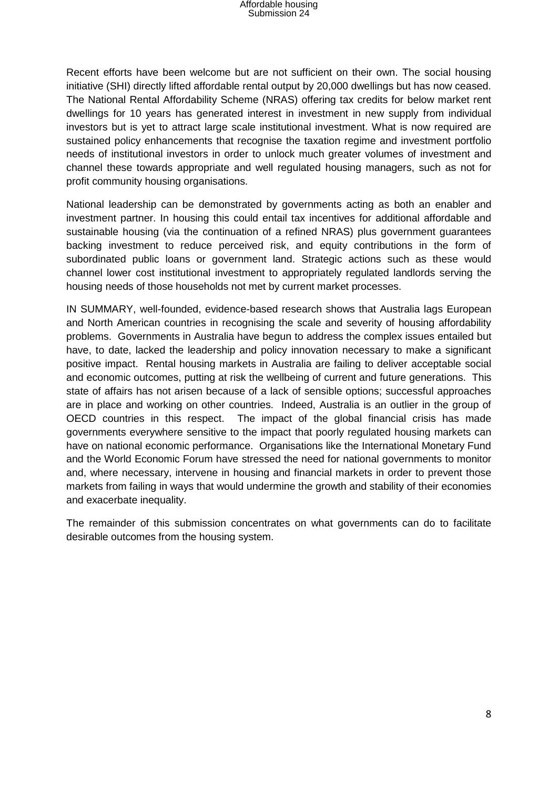Recent efforts have been welcome but are not sufficient on their own. The social housing initiative (SHI) directly lifted affordable rental output by 20,000 dwellings but has now ceased. The National Rental Affordability Scheme (NRAS) offering tax credits for below market rent dwellings for 10 years has generated interest in investment in new supply from individual investors but is yet to attract large scale institutional investment. What is now required are sustained policy enhancements that recognise the taxation regime and investment portfolio needs of institutional investors in order to unlock much greater volumes of investment and channel these towards appropriate and well regulated housing managers, such as not for profit community housing organisations.

National leadership can be demonstrated by governments acting as both an enabler and investment partner. In housing this could entail tax incentives for additional affordable and sustainable housing (via the continuation of a refined NRAS) plus government guarantees backing investment to reduce perceived risk, and equity contributions in the form of subordinated public loans or government land. Strategic actions such as these would channel lower cost institutional investment to appropriately regulated landlords serving the housing needs of those households not met by current market processes.

IN SUMMARY, well-founded, evidence-based research shows that Australia lags European and North American countries in recognising the scale and severity of housing affordability problems. Governments in Australia have begun to address the complex issues entailed but have, to date, lacked the leadership and policy innovation necessary to make a significant positive impact. Rental housing markets in Australia are failing to deliver acceptable social and economic outcomes, putting at risk the wellbeing of current and future generations. This state of affairs has not arisen because of a lack of sensible options; successful approaches are in place and working on other countries. Indeed, Australia is an outlier in the group of OECD countries in this respect. The impact of the global financial crisis has made governments everywhere sensitive to the impact that poorly regulated housing markets can have on national economic performance. Organisations like the International Monetary Fund and the World Economic Forum have stressed the need for national governments to monitor and, where necessary, intervene in housing and financial markets in order to prevent those markets from failing in ways that would undermine the growth and stability of their economies and exacerbate inequality.

The remainder of this submission concentrates on what governments can do to facilitate desirable outcomes from the housing system.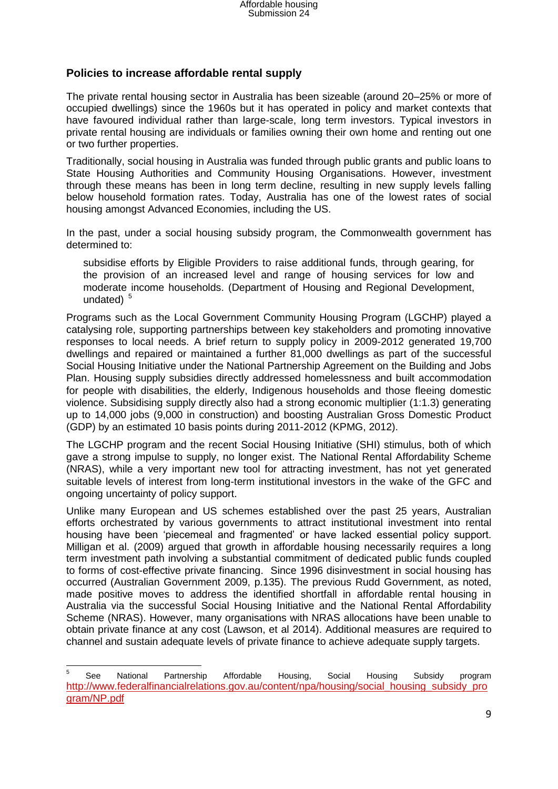#### **Policies to increase affordable rental supply**

The private rental housing sector in Australia has been sizeable (around 20–25% or more of occupied dwellings) since the 1960s but it has operated in policy and market contexts that have favoured individual rather than large-scale, long term investors. Typical investors in private rental housing are individuals or families owning their own home and renting out one or two further properties.

Traditionally, social housing in Australia was funded through public grants and public loans to State Housing Authorities and Community Housing Organisations. However, investment through these means has been in long term decline, resulting in new supply levels falling below household formation rates. Today, Australia has one of the lowest rates of social housing amongst Advanced Economies, including the US.

In the past, under a social housing subsidy program, the Commonwealth government has determined to:

subsidise efforts by Eligible Providers to raise additional funds, through gearing, for the provision of an increased level and range of housing services for low and moderate income households. (Department of Housing and Regional Development, undated)<sup>5</sup>

Programs such as the Local Government Community Housing Program (LGCHP) played a catalysing role, supporting partnerships between key stakeholders and promoting innovative responses to local needs. A brief return to supply policy in 2009-2012 generated 19,700 dwellings and repaired or maintained a further 81,000 dwellings as part of the successful Social Housing Initiative under the National Partnership Agreement on the Building and Jobs Plan. Housing supply subsidies directly addressed homelessness and built accommodation for people with disabilities, the elderly, Indigenous households and those fleeing domestic violence. Subsidising supply directly also had a strong economic multiplier (1:1.3) generating up to 14,000 jobs (9,000 in construction) and boosting Australian Gross Domestic Product (GDP) by an estimated 10 basis points during 2011-2012 (KPMG, 2012).

The LGCHP program and the recent Social Housing Initiative (SHI) stimulus, both of which gave a strong impulse to supply, no longer exist. The National Rental Affordability Scheme (NRAS), while a very important new tool for attracting investment, has not yet generated suitable levels of interest from long-term institutional investors in the wake of the GFC and ongoing uncertainty of policy support.

Unlike many European and US schemes established over the past 25 years, Australian efforts orchestrated by various governments to attract institutional investment into rental housing have been 'piecemeal and fragmented' or have lacked essential policy support. Milligan et al. (2009) argued that growth in affordable housing necessarily requires a long term investment path involving a substantial commitment of dedicated public funds coupled to forms of cost-effective private financing. Since 1996 disinvestment in social housing has occurred (Australian Government 2009, p.135). The previous Rudd Government, as noted, made positive moves to address the identified shortfall in affordable rental housing in Australia via the successful Social Housing Initiative and the National Rental Affordability Scheme (NRAS). However, many organisations with NRAS allocations have been unable to obtain private finance at any cost (Lawson, et al 2014). Additional measures are required to channel and sustain adequate levels of private finance to achieve adequate supply targets.

 $\overline{\phantom{a}}$ 

<sup>5</sup> See National Partnership Affordable Housing, Social Housing Subsidy program [http://www.federalfinancialrelations.gov.au/content/npa/housing/social\\_housing\\_subsidy\\_pro](http://www.federalfinancialrelations.gov.au/content/npa/housing/social_housing_subsidy_program/NP.pdf) [gram/NP.pdf](http://www.federalfinancialrelations.gov.au/content/npa/housing/social_housing_subsidy_program/NP.pdf)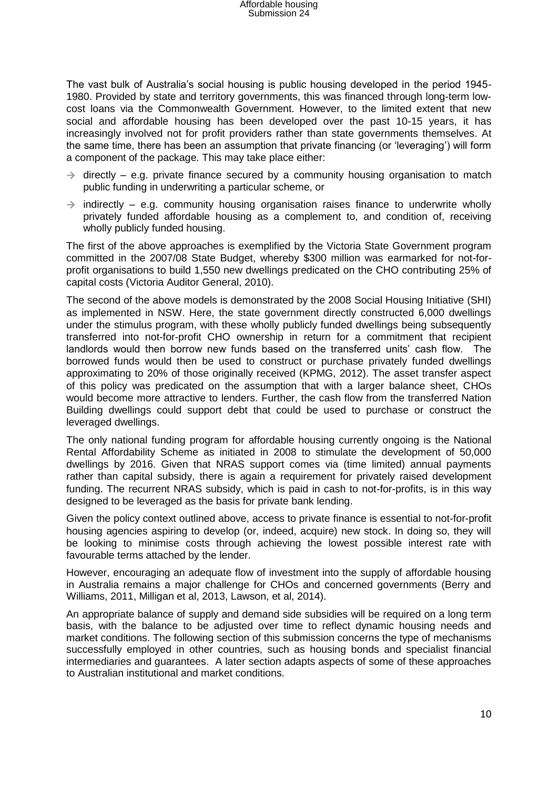The vast bulk of Australia's social housing is public housing developed in the period 1945- 1980. Provided by state and territory governments, this was financed through long-term lowcost loans via the Commonwealth Government. However, to the limited extent that new social and affordable housing has been developed over the past 10-15 years, it has increasingly involved not for profit providers rather than state governments themselves. At the same time, there has been an assumption that private financing (or 'leveraging') will form a component of the package. This may take place either:

- $\rightarrow$  directly e.g. private finance secured by a community housing organisation to match public funding in underwriting a particular scheme, or
- $\rightarrow$  indirectly e.g. community housing organisation raises finance to underwrite wholly privately funded affordable housing as a complement to, and condition of, receiving wholly publicly funded housing.

The first of the above approaches is exemplified by the Victoria State Government program committed in the 2007/08 State Budget, whereby \$300 million was earmarked for not-forprofit organisations to build 1,550 new dwellings predicated on the CHO contributing 25% of capital costs (Victoria Auditor General, 2010).

The second of the above models is demonstrated by the 2008 Social Housing Initiative (SHI) as implemented in NSW. Here, the state government directly constructed 6,000 dwellings under the stimulus program, with these wholly publicly funded dwellings being subsequently transferred into not-for-profit CHO ownership in return for a commitment that recipient landlords would then borrow new funds based on the transferred units' cash flow. The borrowed funds would then be used to construct or purchase privately funded dwellings approximating to 20% of those originally received (KPMG, 2012). The asset transfer aspect of this policy was predicated on the assumption that with a larger balance sheet, CHOs would become more attractive to lenders. Further, the cash flow from the transferred Nation Building dwellings could support debt that could be used to purchase or construct the leveraged dwellings.

The only national funding program for affordable housing currently ongoing is the National Rental Affordability Scheme as initiated in 2008 to stimulate the development of 50,000 dwellings by 2016. Given that NRAS support comes via (time limited) annual payments rather than capital subsidy, there is again a requirement for privately raised development funding. The recurrent NRAS subsidy, which is paid in cash to not-for-profits, is in this way designed to be leveraged as the basis for private bank lending.

Given the policy context outlined above, access to private finance is essential to not-for-profit housing agencies aspiring to develop (or, indeed, acquire) new stock. In doing so, they will be looking to minimise costs through achieving the lowest possible interest rate with favourable terms attached by the lender.

However, encouraging an adequate flow of investment into the supply of affordable housing in Australia remains a major challenge for CHOs and concerned governments (Berry and Williams, 2011, Milligan et al, 2013, Lawson, et al, 2014).

An appropriate balance of supply and demand side subsidies will be required on a long term basis, with the balance to be adjusted over time to reflect dynamic housing needs and market conditions. The following section of this submission concerns the type of mechanisms successfully employed in other countries, such as housing bonds and specialist financial intermediaries and guarantees. A later section adapts aspects of some of these approaches to Australian institutional and market conditions.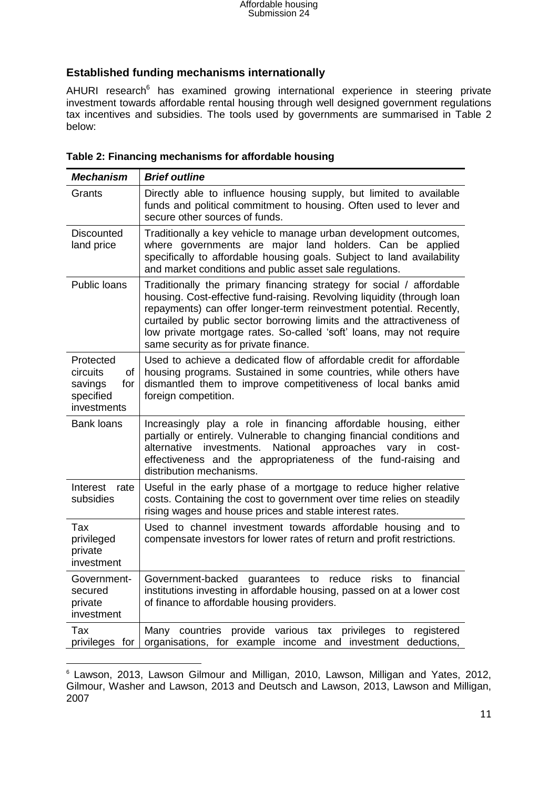### **Established funding mechanisms internationally**

AHURI research<sup>6</sup> has examined growing international experience in steering private investment towards affordable rental housing through well designed government regulations tax incentives and subsidies. The tools used by governments are summarised in Table 2 below:

| <b>Mechanism</b>                                                          | <b>Brief outline</b>                                                                                                                                                                                                                                                                                                                                                                                            |
|---------------------------------------------------------------------------|-----------------------------------------------------------------------------------------------------------------------------------------------------------------------------------------------------------------------------------------------------------------------------------------------------------------------------------------------------------------------------------------------------------------|
| Grants                                                                    | Directly able to influence housing supply, but limited to available<br>funds and political commitment to housing. Often used to lever and<br>secure other sources of funds.                                                                                                                                                                                                                                     |
| <b>Discounted</b><br>land price                                           | Traditionally a key vehicle to manage urban development outcomes,<br>where governments are major land holders. Can be applied<br>specifically to affordable housing goals. Subject to land availability<br>and market conditions and public asset sale regulations.                                                                                                                                             |
| Public loans                                                              | Traditionally the primary financing strategy for social / affordable<br>housing. Cost-effective fund-raising. Revolving liquidity (through loan<br>repayments) can offer longer-term reinvestment potential. Recently,<br>curtailed by public sector borrowing limits and the attractiveness of<br>low private mortgage rates. So-called 'soft' loans, may not require<br>same security as for private finance. |
| Protected<br>circuits<br>of<br>savings<br>for<br>specified<br>investments | Used to achieve a dedicated flow of affordable credit for affordable<br>housing programs. Sustained in some countries, while others have<br>dismantled them to improve competitiveness of local banks amid<br>foreign competition.                                                                                                                                                                              |
| <b>Bank loans</b>                                                         | Increasingly play a role in financing affordable housing, either<br>partially or entirely. Vulnerable to changing financial conditions and<br>investments.<br>National<br>approaches<br>alternative<br>vary in<br>cost-<br>effectiveness and the appropriateness of the fund-raising and<br>distribution mechanisms.                                                                                            |
| Interest<br>rate<br>subsidies                                             | Useful in the early phase of a mortgage to reduce higher relative<br>costs. Containing the cost to government over time relies on steadily<br>rising wages and house prices and stable interest rates.                                                                                                                                                                                                          |
| <b>Tax</b><br>privileged<br>private<br>investment                         | Used to channel investment towards affordable housing and to<br>compensate investors for lower rates of return and profit restrictions.                                                                                                                                                                                                                                                                         |
| Government-<br>secured<br>private<br>investment                           | financial<br>Government-backed<br>guarantees<br>to<br>reduce<br>risks<br>to<br>institutions investing in affordable housing, passed on at a lower cost<br>of finance to affordable housing providers.                                                                                                                                                                                                           |
| Tax<br>privileges for                                                     | countries<br>provide various<br>privileges<br>Many<br>tax<br>to<br>registered<br>organisations, for example income and investment deductions,                                                                                                                                                                                                                                                                   |

|  |  | Table 2: Financing mechanisms for affordable housing |
|--|--|------------------------------------------------------|
|--|--|------------------------------------------------------|

<sup>1</sup> <sup>6</sup> Lawson, 2013, Lawson Gilmour and Milligan, 2010, Lawson, Milligan and Yates, 2012, Gilmour, Washer and Lawson, 2013 and Deutsch and Lawson, 2013, Lawson and Milligan, 2007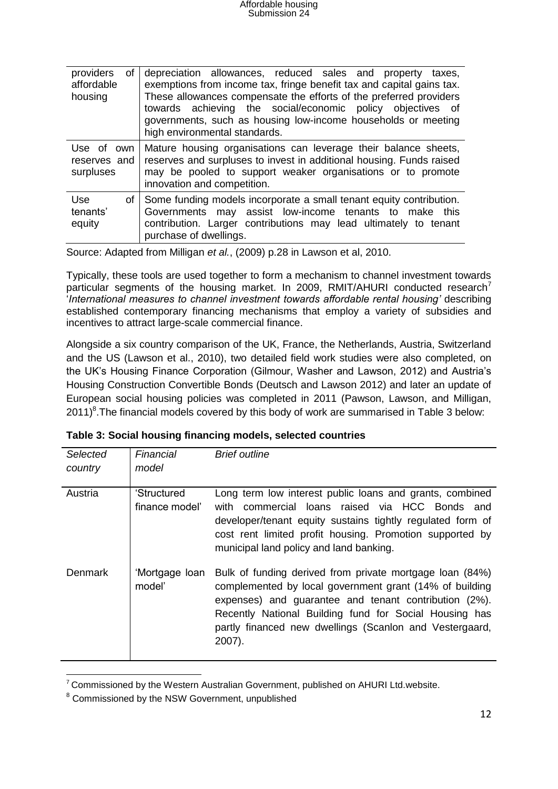| providers<br>of<br>affordable<br>housing | depreciation allowances, reduced sales and property taxes,<br>exemptions from income tax, fringe benefit tax and capital gains tax.<br>These allowances compensate the efforts of the preferred providers<br>towards achieving the social/economic policy objectives of<br>governments, such as housing low-income households or meeting<br>high environmental standards. |
|------------------------------------------|---------------------------------------------------------------------------------------------------------------------------------------------------------------------------------------------------------------------------------------------------------------------------------------------------------------------------------------------------------------------------|
| Use of own<br>reserves and<br>surpluses  | Mature housing organisations can leverage their balance sheets,<br>reserves and surpluses to invest in additional housing. Funds raised<br>may be pooled to support weaker organisations or to promote<br>innovation and competition.                                                                                                                                     |
| <b>Use</b><br>of<br>tenants'<br>equity   | Some funding models incorporate a small tenant equity contribution.<br>Governments may assist low-income tenants to make this<br>contribution. Larger contributions may lead ultimately to tenant<br>purchase of dwellings.                                                                                                                                               |

Source: Adapted from Milligan *et al.*, (2009) p.28 in Lawson et al, 2010.

Typically, these tools are used together to form a mechanism to channel investment towards particular segments of the housing market. In 2009, RMIT/AHURI conducted research<sup>7</sup> '*International measures to channel investment towards affordable rental housing'* describing established contemporary financing mechanisms that employ a variety of subsidies and incentives to attract large-scale commercial finance.

Alongside a six country comparison of the UK, France, the Netherlands, Austria, Switzerland and the US (Lawson et al., 2010), two detailed field work studies were also completed, on the UK's Housing Finance Corporation (Gilmour, Washer and Lawson, 2012) and Austria's Housing Construction Convertible Bonds (Deutsch and Lawson 2012) and later an update of European social housing policies was completed in 2011 (Pawson, Lawson, and Milligan,  $2011$ <sup>8</sup>. The financial models covered by this body of work are summarised in Table 3 below:

| <b>Selected</b> | Financial                     | <b>Brief outline</b>                                                                                                                                                                                                                                                                                        |
|-----------------|-------------------------------|-------------------------------------------------------------------------------------------------------------------------------------------------------------------------------------------------------------------------------------------------------------------------------------------------------------|
| country         | model                         |                                                                                                                                                                                                                                                                                                             |
| Austria         | 'Structured<br>finance model' | Long term low interest public loans and grants, combined<br>with commercial loans raised via HCC Bonds and<br>developer/tenant equity sustains tightly regulated form of<br>cost rent limited profit housing. Promotion supported by<br>municipal land policy and land banking.                             |
| <b>Denmark</b>  | 'Mortgage Ioan<br>model'      | Bulk of funding derived from private mortgage loan (84%)<br>complemented by local government grant (14% of building<br>expenses) and guarantee and tenant contribution (2%).<br>Recently National Building fund for Social Housing has<br>partly financed new dwellings (Scanlon and Vestergaard,<br>2007). |

| Table 3: Social housing financing models, selected countries |  |
|--------------------------------------------------------------|--|
|--------------------------------------------------------------|--|

1

 $7$  Commissioned by the Western Australian Government, published on AHURI Ltd.website.

<sup>&</sup>lt;sup>8</sup> Commissioned by the NSW Government, unpublished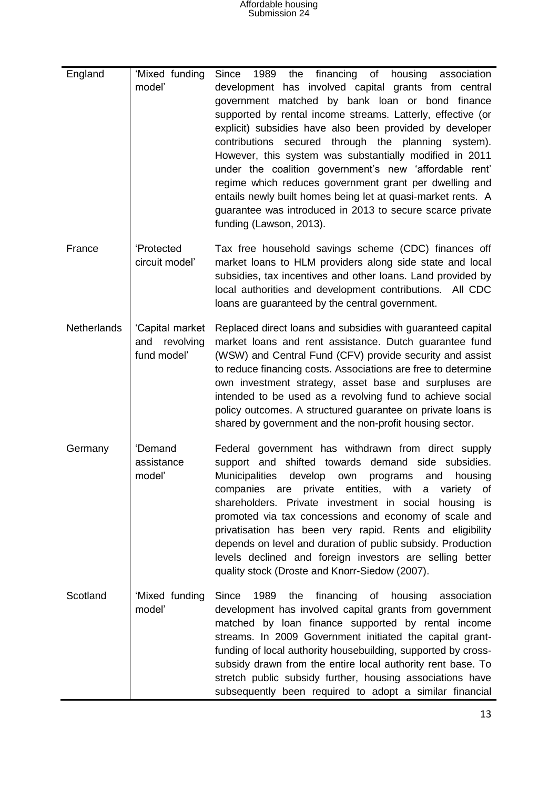# Affordable housing Submission 24

| England            | 'Mixed funding<br>model'                           | 1989<br>financing<br>Since<br>the<br>of<br>housing<br>association<br>development has involved capital grants from central<br>government matched by bank loan or bond finance<br>supported by rental income streams. Latterly, effective (or<br>explicit) subsidies have also been provided by developer<br>contributions<br>through the planning<br>secured<br>system).<br>However, this system was substantially modified in 2011<br>under the coalition government's new 'affordable rent'<br>regime which reduces government grant per dwelling and<br>entails newly built homes being let at quasi-market rents. A<br>guarantee was introduced in 2013 to secure scarce private<br>funding (Lawson, 2013). |
|--------------------|----------------------------------------------------|----------------------------------------------------------------------------------------------------------------------------------------------------------------------------------------------------------------------------------------------------------------------------------------------------------------------------------------------------------------------------------------------------------------------------------------------------------------------------------------------------------------------------------------------------------------------------------------------------------------------------------------------------------------------------------------------------------------|
| France             | 'Protected<br>circuit model'                       | Tax free household savings scheme (CDC) finances off<br>market loans to HLM providers along side state and local<br>subsidies, tax incentives and other loans. Land provided by<br>local authorities and development contributions. All CDC<br>loans are guaranteed by the central government.                                                                                                                                                                                                                                                                                                                                                                                                                 |
| <b>Netherlands</b> | 'Capital market<br>revolving<br>and<br>fund model' | Replaced direct loans and subsidies with guaranteed capital<br>market loans and rent assistance. Dutch guarantee fund<br>(WSW) and Central Fund (CFV) provide security and assist<br>to reduce financing costs. Associations are free to determine<br>own investment strategy, asset base and surpluses are<br>intended to be used as a revolving fund to achieve social<br>policy outcomes. A structured guarantee on private loans is<br>shared by government and the non-profit housing sector.                                                                                                                                                                                                             |
| Germany            | 'Demand<br>assistance<br>model'                    | Federal government has withdrawn from direct supply<br>shifted towards<br>demand<br>side subsidies.<br>support and<br><b>Municipalities</b><br>develop<br>housing<br>own<br>programs<br>and<br>private entities, with a<br>of<br>companies are<br>variety<br>shareholders. Private investment in social housing is<br>promoted via tax concessions and economy of scale and<br>privatisation has been very rapid. Rents and eligibility<br>depends on level and duration of public subsidy. Production<br>levels declined and foreign investors are selling better<br>quality stock (Droste and Knorr-Siedow (2007).                                                                                           |
| Scotland           | 'Mixed funding<br>model'                           | financing of<br>Since<br>1989<br>the<br>housing<br>association<br>development has involved capital grants from government<br>matched by loan finance supported by rental income<br>streams. In 2009 Government initiated the capital grant-<br>funding of local authority housebuilding, supported by cross-<br>subsidy drawn from the entire local authority rent base. To<br>stretch public subsidy further, housing associations have<br>subsequently been required to adopt a similar financial                                                                                                                                                                                                            |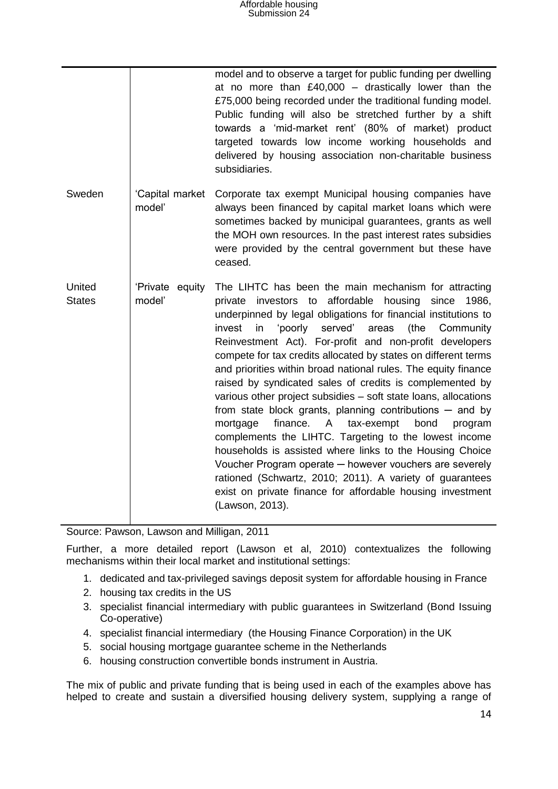|                         |                           | model and to observe a target for public funding per dwelling<br>at no more than $£40,000 -$ drastically lower than the<br>£75,000 being recorded under the traditional funding model.<br>Public funding will also be stretched further by a shift<br>towards a 'mid-market rent' (80% of market) product<br>targeted towards low income working households and<br>delivered by housing association non-charitable business<br>subsidiaries.                                                                                                                                                                                                                                                                                                                                                                                                                                                                                                                                                                                                   |
|-------------------------|---------------------------|------------------------------------------------------------------------------------------------------------------------------------------------------------------------------------------------------------------------------------------------------------------------------------------------------------------------------------------------------------------------------------------------------------------------------------------------------------------------------------------------------------------------------------------------------------------------------------------------------------------------------------------------------------------------------------------------------------------------------------------------------------------------------------------------------------------------------------------------------------------------------------------------------------------------------------------------------------------------------------------------------------------------------------------------|
| Sweden                  | 'Capital market<br>model' | Corporate tax exempt Municipal housing companies have<br>always been financed by capital market loans which were<br>sometimes backed by municipal guarantees, grants as well<br>the MOH own resources. In the past interest rates subsidies<br>were provided by the central government but these have<br>ceased.                                                                                                                                                                                                                                                                                                                                                                                                                                                                                                                                                                                                                                                                                                                               |
| United<br><b>States</b> | 'Private equity<br>model' | The LIHTC has been the main mechanism for attracting<br>private investors to affordable housing<br>since<br>1986,<br>underpinned by legal obligations for financial institutions to<br>invest<br>'poorly<br>served'<br>areas<br>(the<br>in<br>Community<br>Reinvestment Act). For-profit and non-profit developers<br>compete for tax credits allocated by states on different terms<br>and priorities within broad national rules. The equity finance<br>raised by syndicated sales of credits is complemented by<br>various other project subsidies – soft state loans, allocations<br>from state block grants, planning contributions $-$ and by<br>finance.<br>A<br>tax-exempt<br>bond<br>mortgage<br>program<br>complements the LIHTC. Targeting to the lowest income<br>households is assisted where links to the Housing Choice<br>Voucher Program operate - however vouchers are severely<br>rationed (Schwartz, 2010; 2011). A variety of guarantees<br>exist on private finance for affordable housing investment<br>(Lawson, 2013). |

Source: Pawson, Lawson and Milligan, 2011

Further, a more detailed report (Lawson et al, 2010) contextualizes the following mechanisms within their local market and institutional settings:

- 1. dedicated and tax-privileged savings deposit system for affordable housing in France
- 2. housing tax credits in the US
- 3. specialist financial intermediary with public guarantees in Switzerland (Bond Issuing Co-operative)
- 4. specialist financial intermediary (the Housing Finance Corporation) in the UK
- 5. social housing mortgage guarantee scheme in the Netherlands
- 6. housing construction convertible bonds instrument in Austria.

The mix of public and private funding that is being used in each of the examples above has helped to create and sustain a diversified housing delivery system, supplying a range of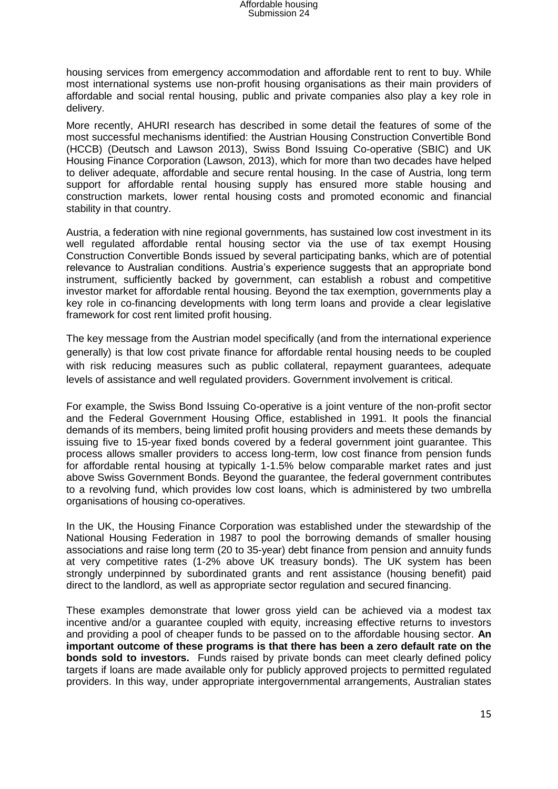housing services from emergency accommodation and affordable rent to rent to buy. While most international systems use non-profit housing organisations as their main providers of affordable and social rental housing, public and private companies also play a key role in delivery.

More recently, AHURI research has described in some detail the features of some of the most successful mechanisms identified: the Austrian Housing Construction Convertible Bond (HCCB) (Deutsch and Lawson 2013), Swiss Bond Issuing Co-operative (SBIC) and UK Housing Finance Corporation (Lawson, 2013), which for more than two decades have helped to deliver adequate, affordable and secure rental housing. In the case of Austria, long term support for affordable rental housing supply has ensured more stable housing and construction markets, lower rental housing costs and promoted economic and financial stability in that country.

Austria, a federation with nine regional governments, has sustained low cost investment in its well regulated affordable rental housing sector via the use of tax exempt Housing Construction Convertible Bonds issued by several participating banks, which are of potential relevance to Australian conditions. Austria's experience suggests that an appropriate bond instrument, sufficiently backed by government, can establish a robust and competitive investor market for affordable rental housing. Beyond the tax exemption, governments play a key role in co-financing developments with long term loans and provide a clear legislative framework for cost rent limited profit housing.

The key message from the Austrian model specifically (and from the international experience generally) is that low cost private finance for affordable rental housing needs to be coupled with risk reducing measures such as public collateral, repayment guarantees, adequate levels of assistance and well regulated providers. Government involvement is critical.

For example, the Swiss Bond Issuing Co-operative is a joint venture of the non-profit sector and the Federal Government Housing Office, established in 1991. It pools the financial demands of its members, being limited profit housing providers and meets these demands by issuing five to 15-year fixed bonds covered by a federal government joint guarantee. This process allows smaller providers to access long-term, low cost finance from pension funds for affordable rental housing at typically 1-1.5% below comparable market rates and just above Swiss Government Bonds. Beyond the guarantee, the federal government contributes to a revolving fund, which provides low cost loans, which is administered by two umbrella organisations of housing co-operatives.

In the UK, the Housing Finance Corporation was established under the stewardship of the National Housing Federation in 1987 to pool the borrowing demands of smaller housing associations and raise long term (20 to 35-year) debt finance from pension and annuity funds at very competitive rates (1-2% above UK treasury bonds). The UK system has been strongly underpinned by subordinated grants and rent assistance (housing benefit) paid direct to the landlord, as well as appropriate sector regulation and secured financing.

These examples demonstrate that lower gross yield can be achieved via a modest tax incentive and/or a guarantee coupled with equity, increasing effective returns to investors and providing a pool of cheaper funds to be passed on to the affordable housing sector. **An important outcome of these programs is that there has been a zero default rate on the bonds sold to investors.** Funds raised by private bonds can meet clearly defined policy targets if loans are made available only for publicly approved projects to permitted regulated providers. In this way, under appropriate intergovernmental arrangements, Australian states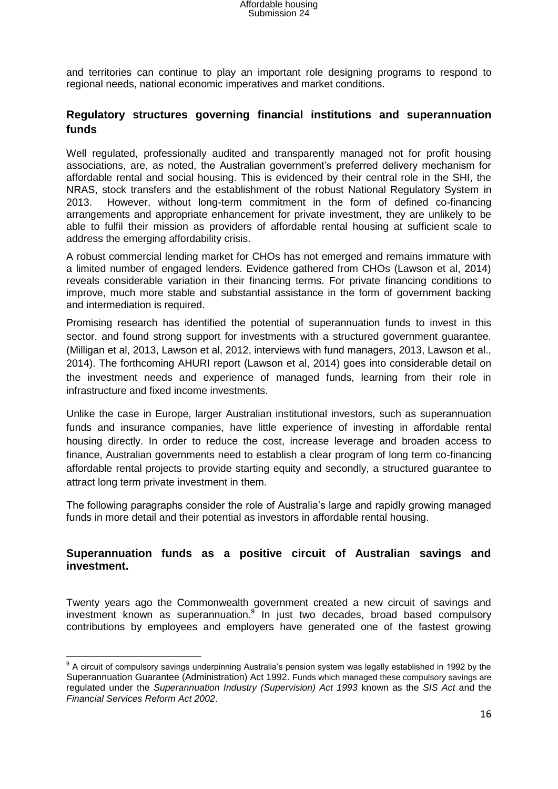and territories can continue to play an important role designing programs to respond to regional needs, national economic imperatives and market conditions.

#### **Regulatory structures governing financial institutions and superannuation funds**

Well regulated, professionally audited and transparently managed not for profit housing associations, are, as noted, the Australian government's preferred delivery mechanism for affordable rental and social housing. This is evidenced by their central role in the SHI, the NRAS, stock transfers and the establishment of the robust National Regulatory System in 2013. However, without long-term commitment in the form of defined co-financing arrangements and appropriate enhancement for private investment, they are unlikely to be able to fulfil their mission as providers of affordable rental housing at sufficient scale to address the emerging affordability crisis.

A robust commercial lending market for CHOs has not emerged and remains immature with a limited number of engaged lenders. Evidence gathered from CHOs (Lawson et al, 2014) reveals considerable variation in their financing terms. For private financing conditions to improve, much more stable and substantial assistance in the form of government backing and intermediation is required.

Promising research has identified the potential of superannuation funds to invest in this sector, and found strong support for investments with a structured government guarantee. (Milligan et al, 2013, Lawson et al, 2012, interviews with fund managers, 2013, Lawson et al., 2014). The forthcoming AHURI report (Lawson et al, 2014) goes into considerable detail on the investment needs and experience of managed funds, learning from their role in infrastructure and fixed income investments.

Unlike the case in Europe, larger Australian institutional investors, such as superannuation funds and insurance companies, have little experience of investing in affordable rental housing directly. In order to reduce the cost, increase leverage and broaden access to finance, Australian governments need to establish a clear program of long term co-financing affordable rental projects to provide starting equity and secondly, a structured guarantee to attract long term private investment in them.

The following paragraphs consider the role of Australia's large and rapidly growing managed funds in more detail and their potential as investors in affordable rental housing.

#### **Superannuation funds as a positive circuit of Australian savings and investment.**

Twenty years ago the Commonwealth government created a new circuit of savings and investment known as superannuation.<sup>9</sup> In just two decades, broad based compulsory contributions by employees and employers have generated one of the fastest growing

 9 A circuit of compulsory savings underpinning Australia's pension system was legally established in 1992 by the Superannuation Guarantee (Administration) Act 1992. Funds which managed these compulsory savings are regulated under the *Superannuation Industry (Supervision) Act 1993* known as the *SIS Act* and the *Financial Services Reform Act 2002*.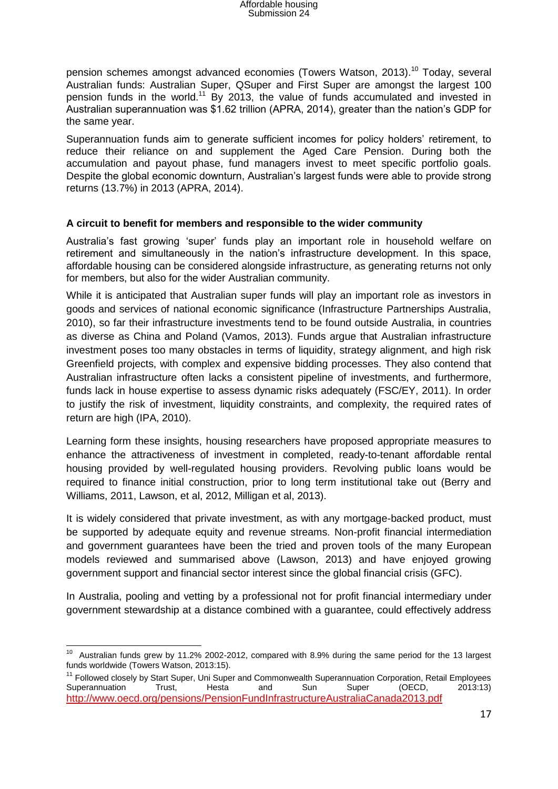pension schemes amongst advanced economies (Towers Watson, 2013).<sup>10</sup> Today, several Australian funds: Australian Super, QSuper and First Super are amongst the largest 100 pension funds in the world.<sup>11</sup> By 2013, the value of funds accumulated and invested in Australian superannuation was \$1.62 trillion (APRA, 2014), greater than the nation's GDP for the same year.

Superannuation funds aim to generate sufficient incomes for policy holders' retirement, to reduce their reliance on and supplement the Aged Care Pension. During both the accumulation and payout phase, fund managers invest to meet specific portfolio goals. Despite the global economic downturn, Australian's largest funds were able to provide strong returns (13.7%) in 2013 (APRA, 2014).

#### **A circuit to benefit for members and responsible to the wider community**

Australia's fast growing 'super' funds play an important role in household welfare on retirement and simultaneously in the nation's infrastructure development. In this space, affordable housing can be considered alongside infrastructure, as generating returns not only for members, but also for the wider Australian community.

While it is anticipated that Australian super funds will play an important role as investors in goods and services of national economic significance (Infrastructure Partnerships Australia, 2010), so far their infrastructure investments tend to be found outside Australia, in countries as diverse as China and Poland (Vamos, 2013). Funds argue that Australian infrastructure investment poses too many obstacles in terms of liquidity, strategy alignment, and high risk Greenfield projects, with complex and expensive bidding processes. They also contend that Australian infrastructure often lacks a consistent pipeline of investments, and furthermore, funds lack in house expertise to assess dynamic risks adequately (FSC/EY, 2011). In order to justify the risk of investment, liquidity constraints, and complexity, the required rates of return are high (IPA, 2010).

Learning form these insights, housing researchers have proposed appropriate measures to enhance the attractiveness of investment in completed, ready-to-tenant affordable rental housing provided by well-regulated housing providers. Revolving public loans would be required to finance initial construction, prior to long term institutional take out (Berry and Williams, 2011, Lawson, et al, 2012, Milligan et al, 2013).

It is widely considered that private investment, as with any mortgage-backed product, must be supported by adequate equity and revenue streams. Non-profit financial intermediation and government guarantees have been the tried and proven tools of the many European models reviewed and summarised above (Lawson, 2013) and have enjoyed growing government support and financial sector interest since the global financial crisis (GFC).

In Australia, pooling and vetting by a professional not for profit financial intermediary under government stewardship at a distance combined with a guarantee, could effectively address

TERT AUSTRIAN CONCORDING ASSET THE SALITY CONSERVITS And the SAME period for the 13 largest 10<br>The Australian funds grew by 11.2% 2002-2012, compared with 8.9% during the same period for the 13 largest funds worldwide (Towers Watson, 2013:15).

<sup>&</sup>lt;sup>11</sup> Followed closely by Start Super, Uni Super and Commonwealth Superannuation Corporation, Retail Employees Superannuation Trust, Hesta and Sun Super (OECD, 2013:13) <http://www.oecd.org/pensions/PensionFundInfrastructureAustraliaCanada2013.pdf>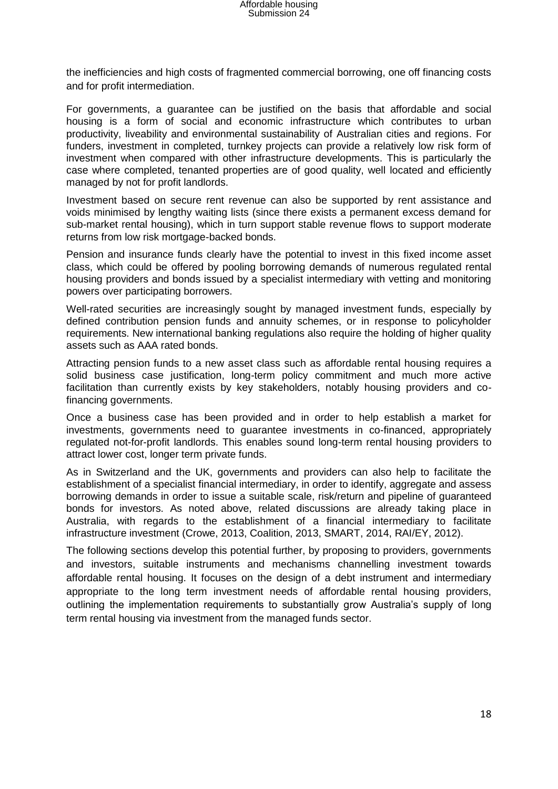the inefficiencies and high costs of fragmented commercial borrowing, one off financing costs and for profit intermediation.

For governments, a guarantee can be justified on the basis that affordable and social housing is a form of social and economic infrastructure which contributes to urban productivity, liveability and environmental sustainability of Australian cities and regions. For funders, investment in completed, turnkey projects can provide a relatively low risk form of investment when compared with other infrastructure developments. This is particularly the case where completed, tenanted properties are of good quality, well located and efficiently managed by not for profit landlords.

Investment based on secure rent revenue can also be supported by rent assistance and voids minimised by lengthy waiting lists (since there exists a permanent excess demand for sub-market rental housing), which in turn support stable revenue flows to support moderate returns from low risk mortgage-backed bonds.

Pension and insurance funds clearly have the potential to invest in this fixed income asset class, which could be offered by pooling borrowing demands of numerous regulated rental housing providers and bonds issued by a specialist intermediary with vetting and monitoring powers over participating borrowers.

Well-rated securities are increasingly sought by managed investment funds, especially by defined contribution pension funds and annuity schemes, or in response to policyholder requirements. New international banking regulations also require the holding of higher quality assets such as AAA rated bonds.

Attracting pension funds to a new asset class such as affordable rental housing requires a solid business case justification, long-term policy commitment and much more active facilitation than currently exists by key stakeholders, notably housing providers and cofinancing governments.

Once a business case has been provided and in order to help establish a market for investments, governments need to guarantee investments in co-financed, appropriately regulated not-for-profit landlords. This enables sound long-term rental housing providers to attract lower cost, longer term private funds.

As in Switzerland and the UK, governments and providers can also help to facilitate the establishment of a specialist financial intermediary, in order to identify, aggregate and assess borrowing demands in order to issue a suitable scale, risk/return and pipeline of guaranteed bonds for investors. As noted above, related discussions are already taking place in Australia, with regards to the establishment of a financial intermediary to facilitate infrastructure investment (Crowe, 2013, Coalition, 2013, SMART, 2014, RAI/EY, 2012).

The following sections develop this potential further, by proposing to providers, governments and investors, suitable instruments and mechanisms channelling investment towards affordable rental housing. It focuses on the design of a debt instrument and intermediary appropriate to the long term investment needs of affordable rental housing providers, outlining the implementation requirements to substantially grow Australia's supply of long term rental housing via investment from the managed funds sector.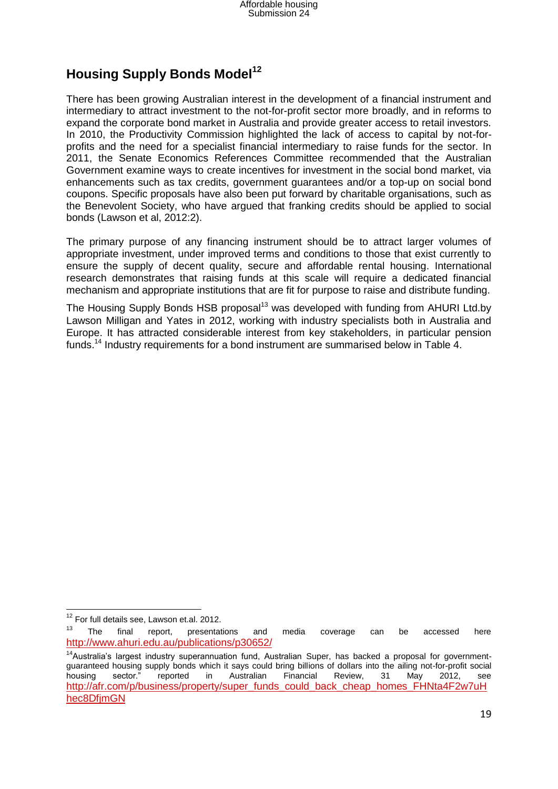## **Housing Supply Bonds Model<sup>12</sup>**

There has been growing Australian interest in the development of a financial instrument and intermediary to attract investment to the not-for-profit sector more broadly, and in reforms to expand the corporate bond market in Australia and provide greater access to retail investors. In 2010, the Productivity Commission highlighted the lack of access to capital by not-forprofits and the need for a specialist financial intermediary to raise funds for the sector. In 2011, the Senate Economics References Committee recommended that the Australian Government examine ways to create incentives for investment in the social bond market, via enhancements such as tax credits, government guarantees and/or a top-up on social bond coupons. Specific proposals have also been put forward by charitable organisations, such as the Benevolent Society, who have argued that franking credits should be applied to social bonds (Lawson et al, 2012:2).

The primary purpose of any financing instrument should be to attract larger volumes of appropriate investment, under improved terms and conditions to those that exist currently to ensure the supply of decent quality, secure and affordable rental housing. International research demonstrates that raising funds at this scale will require a dedicated financial mechanism and appropriate institutions that are fit for purpose to raise and distribute funding.

The Housing Supply Bonds HSB proposal<sup>13</sup> was developed with funding from AHURI Ltd.by Lawson Milligan and Yates in 2012, working with industry specialists both in Australia and Europe. It has attracted considerable interest from key stakeholders, in particular pension funds.<sup>14</sup> Industry requirements for a bond instrument are summarised below in Table 4.

 $\overline{a}$ <sup>12</sup> For full details see, Lawson et.al. 2012.

 $13$  The final report, presentations and media coverage can be accessed here <http://www.ahuri.edu.au/publications/p30652/>

<sup>&</sup>lt;sup>14</sup>Australia's largest industry superannuation fund, Australian Super, has backed a proposal for governmentguaranteed housing supply bonds which it says could bring billions of dollars into the ailing not-for-profit social housing sector." reported in Australian Financial Review, 31 May 2012, see [http://afr.com/p/business/property/super\\_funds\\_could\\_back\\_cheap\\_homes\\_FHNta4F2w7uH](http://afr.com/p/business/property/super_funds_could_back_cheap_homes_FHNta4F2w7uHhec8DfjmGN) [hec8DfjmGN](http://afr.com/p/business/property/super_funds_could_back_cheap_homes_FHNta4F2w7uHhec8DfjmGN)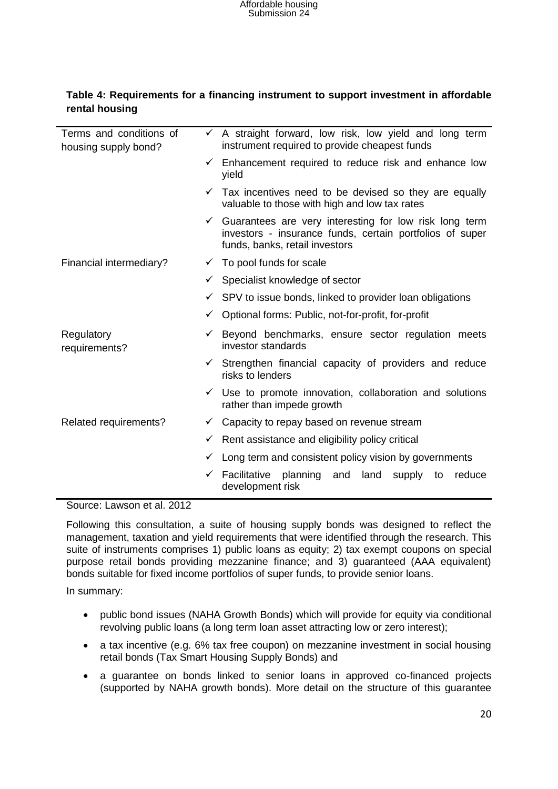| Terms and conditions of<br>housing supply bond? |   | $\checkmark$ A straight forward, low risk, low yield and long term<br>instrument required to provide cheapest funds                                  |
|-------------------------------------------------|---|------------------------------------------------------------------------------------------------------------------------------------------------------|
|                                                 | ✓ | Enhancement required to reduce risk and enhance low<br>yield                                                                                         |
|                                                 |   | $\checkmark$ Tax incentives need to be devised so they are equally<br>valuable to those with high and low tax rates                                  |
|                                                 | ✓ | Guarantees are very interesting for low risk long term<br>investors - insurance funds, certain portfolios of super<br>funds, banks, retail investors |
| Financial intermediary?                         |   | $\checkmark$ To pool funds for scale                                                                                                                 |
|                                                 | ✓ | Specialist knowledge of sector                                                                                                                       |
|                                                 | ✓ | SPV to issue bonds, linked to provider loan obligations                                                                                              |
|                                                 | ✓ | Optional forms: Public, not-for-profit, for-profit                                                                                                   |
| Regulatory<br>requirements?                     | ✓ | Beyond benchmarks, ensure sector regulation meets<br>investor standards                                                                              |
|                                                 | ✓ | Strengthen financial capacity of providers and reduce<br>risks to lenders                                                                            |
|                                                 |   | $\checkmark$ Use to promote innovation, collaboration and solutions<br>rather than impede growth                                                     |
| Related requirements?                           | ✓ | Capacity to repay based on revenue stream                                                                                                            |
|                                                 | ✓ | Rent assistance and eligibility policy critical                                                                                                      |
|                                                 | ✓ | Long term and consistent policy vision by governments                                                                                                |
|                                                 | ✓ | Facilitative<br>planning and<br>land<br>reduce<br>supply<br>to<br>development risk                                                                   |

#### **Table 4: Requirements for a financing instrument to support investment in affordable rental housing**

Source: Lawson et al. 2012

Following this consultation, a suite of housing supply bonds was designed to reflect the management, taxation and yield requirements that were identified through the research. This suite of instruments comprises 1) public loans as equity; 2) tax exempt coupons on special purpose retail bonds providing mezzanine finance; and 3) guaranteed (AAA equivalent) bonds suitable for fixed income portfolios of super funds, to provide senior loans.

In summary:

- public bond issues (NAHA Growth Bonds) which will provide for equity via conditional revolving public loans (a long term loan asset attracting low or zero interest);
- a tax incentive (e.g. 6% tax free coupon) on mezzanine investment in social housing retail bonds (Tax Smart Housing Supply Bonds) and
- a guarantee on bonds linked to senior loans in approved co-financed projects (supported by NAHA growth bonds). More detail on the structure of this guarantee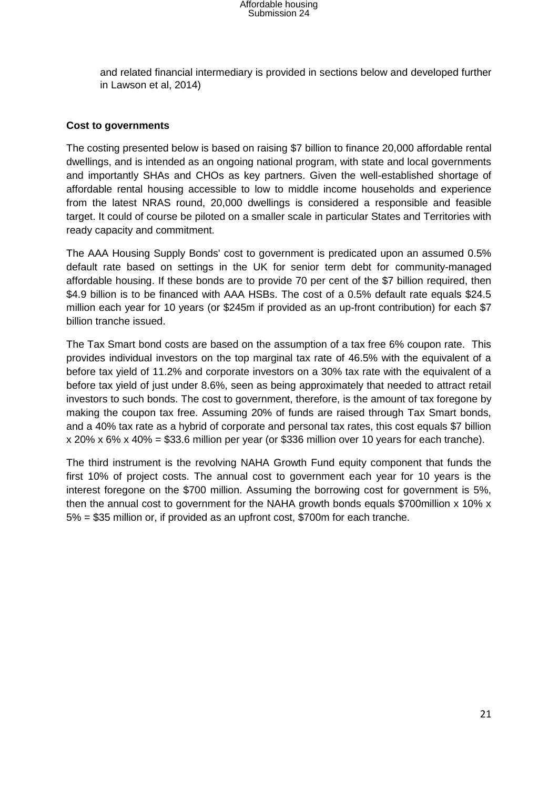and related financial intermediary is provided in sections below and developed further in Lawson et al, 2014)

#### **Cost to governments**

The costing presented below is based on raising \$7 billion to finance 20,000 affordable rental dwellings, and is intended as an ongoing national program, with state and local governments and importantly SHAs and CHOs as key partners. Given the well-established shortage of affordable rental housing accessible to low to middle income households and experience from the latest NRAS round, 20,000 dwellings is considered a responsible and feasible target. It could of course be piloted on a smaller scale in particular States and Territories with ready capacity and commitment.

The AAA Housing Supply Bonds' cost to government is predicated upon an assumed 0.5% default rate based on settings in the UK for senior term debt for community-managed affordable housing. If these bonds are to provide 70 per cent of the \$7 billion required, then \$4.9 billion is to be financed with AAA HSBs. The cost of a 0.5% default rate equals \$24.5 million each year for 10 years (or \$245m if provided as an up-front contribution) for each \$7 billion tranche issued.

The Tax Smart bond costs are based on the assumption of a tax free 6% coupon rate. This provides individual investors on the top marginal tax rate of 46.5% with the equivalent of a before tax yield of 11.2% and corporate investors on a 30% tax rate with the equivalent of a before tax yield of just under 8.6%, seen as being approximately that needed to attract retail investors to such bonds. The cost to government, therefore, is the amount of tax foregone by making the coupon tax free. Assuming 20% of funds are raised through Tax Smart bonds, and a 40% tax rate as a hybrid of corporate and personal tax rates, this cost equals \$7 billion x 20% x 6% x 40% = \$33.6 million per year (or \$336 million over 10 years for each tranche).

The third instrument is the revolving NAHA Growth Fund equity component that funds the first 10% of project costs. The annual cost to government each year for 10 years is the interest foregone on the \$700 million. Assuming the borrowing cost for government is 5%, then the annual cost to government for the NAHA growth bonds equals \$700million x 10% x 5% = \$35 million or, if provided as an upfront cost, \$700m for each tranche.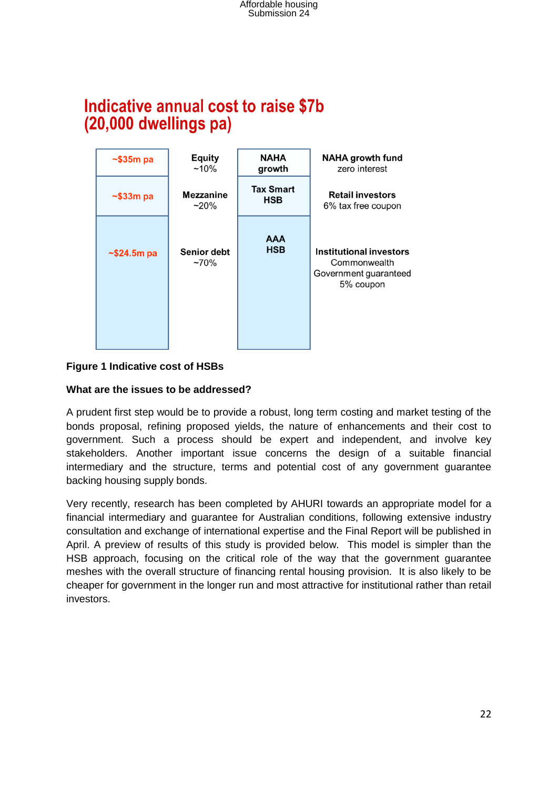# Indicative annual cost to raise \$7b (20,000 dwellings pa)



#### **Figure 1 Indicative cost of HSBs**

#### **What are the issues to be addressed?**

A prudent first step would be to provide a robust, long term costing and market testing of the bonds proposal, refining proposed yields, the nature of enhancements and their cost to government. Such a process should be expert and independent, and involve key stakeholders. Another important issue concerns the design of a suitable financial intermediary and the structure, terms and potential cost of any government guarantee backing housing supply bonds.

Very recently, research has been completed by AHURI towards an appropriate model for a financial intermediary and guarantee for Australian conditions, following extensive industry consultation and exchange of international expertise and the Final Report will be published in April. A preview of results of this study is provided below. This model is simpler than the HSB approach, focusing on the critical role of the way that the government guarantee meshes with the overall structure of financing rental housing provision. It is also likely to be cheaper for government in the longer run and most attractive for institutional rather than retail investors.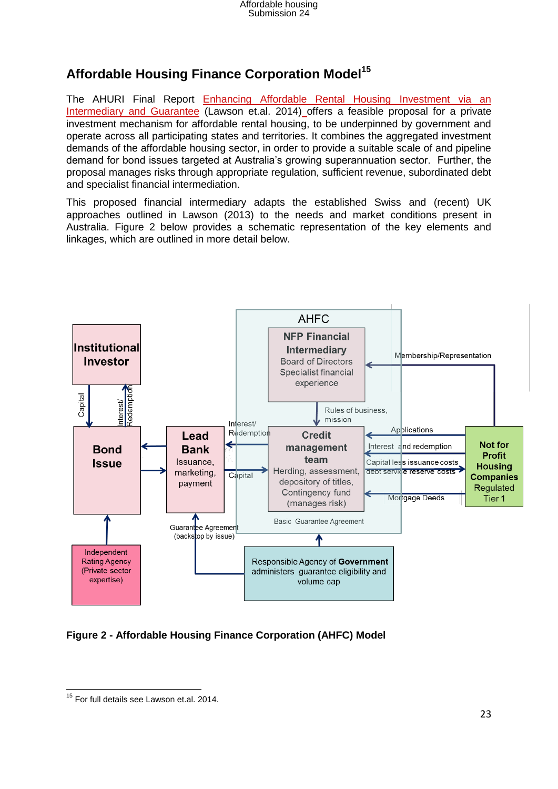# **Affordable Housing Finance Corporation Model<sup>15</sup>**

The AHURI Final Report Enhancing Affordable Rental Housing Investment via an [Intermediary and Guarantee](http://www.ahuri.edu.au/publications/projects/p53019/) (Lawson et.al. 2014) offers a feasible proposal for a private investment mechanism for affordable rental housing, to be underpinned by government and operate across all participating states and territories. It combines the aggregated investment demands of the affordable housing sector, in order to provide a suitable scale of and pipeline demand for bond issues targeted at Australia's growing superannuation sector. Further, the proposal manages risks through appropriate regulation, sufficient revenue, subordinated debt and specialist financial intermediation.

This proposed financial intermediary adapts the established Swiss and (recent) UK approaches outlined in Lawson (2013) to the needs and market conditions present in Australia. Figure 2 below provides a schematic representation of the key elements and linkages, which are outlined in more detail below.



### **Figure 2 - Affordable Housing Finance Corporation (AHFC) Model**

**<sup>.</sup>** <sup>15</sup> For full details see Lawson et.al. 2014.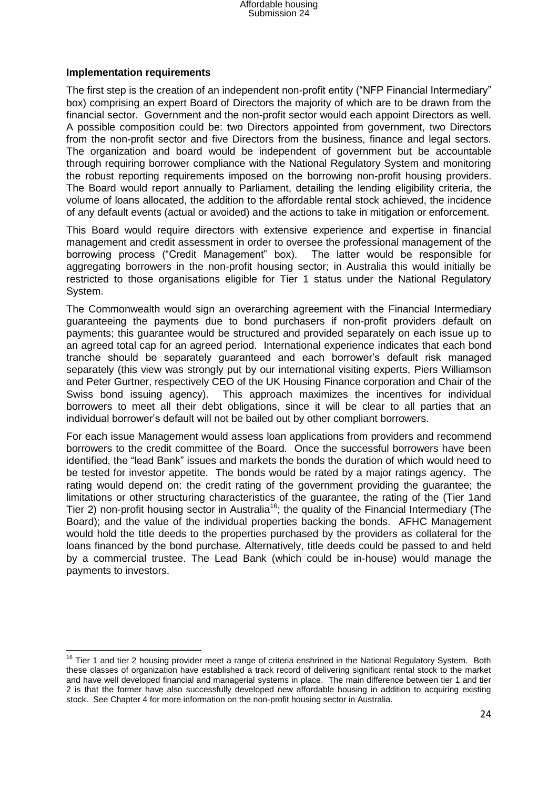#### **Implementation requirements**

The first step is the creation of an independent non-profit entity ("NFP Financial Intermediary" box) comprising an expert Board of Directors the majority of which are to be drawn from the financial sector. Government and the non-profit sector would each appoint Directors as well. A possible composition could be: two Directors appointed from government, two Directors from the non-profit sector and five Directors from the business, finance and legal sectors. The organization and board would be independent of government but be accountable through requiring borrower compliance with the National Regulatory System and monitoring the robust reporting requirements imposed on the borrowing non-profit housing providers. The Board would report annually to Parliament, detailing the lending eligibility criteria, the volume of loans allocated, the addition to the affordable rental stock achieved, the incidence of any default events (actual or avoided) and the actions to take in mitigation or enforcement.

This Board would require directors with extensive experience and expertise in financial management and credit assessment in order to oversee the professional management of the borrowing process ("Credit Management" box). The latter would be responsible for aggregating borrowers in the non-profit housing sector; in Australia this would initially be restricted to those organisations eligible for Tier 1 status under the National Regulatory System.

The Commonwealth would sign an overarching agreement with the Financial Intermediary guaranteeing the payments due to bond purchasers if non-profit providers default on payments; this guarantee would be structured and provided separately on each issue up to an agreed total cap for an agreed period. International experience indicates that each bond tranche should be separately guaranteed and each borrower's default risk managed separately (this view was strongly put by our international visiting experts, Piers Williamson and Peter Gurtner, respectively CEO of the UK Housing Finance corporation and Chair of the Swiss bond issuing agency). This approach maximizes the incentives for individual borrowers to meet all their debt obligations, since it will be clear to all parties that an individual borrower's default will not be bailed out by other compliant borrowers.

For each issue Management would assess loan applications from providers and recommend borrowers to the credit committee of the Board. Once the successful borrowers have been identified, the "lead Bank" issues and markets the bonds the duration of which would need to be tested for investor appetite. The bonds would be rated by a major ratings agency. The rating would depend on: the credit rating of the government providing the guarantee; the limitations or other structuring characteristics of the guarantee, the rating of the (Tier 1and Tier 2) non-profit housing sector in Australia<sup>16</sup>; the quality of the Financial Intermediary (The Board); and the value of the individual properties backing the bonds. AFHC Management would hold the title deeds to the properties purchased by the providers as collateral for the loans financed by the bond purchase. Alternatively, title deeds could be passed to and held by a commercial trustee. The Lead Bank (which could be in-house) would manage the payments to investors.

 $\overline{a}$  $16$  Tier 1 and tier 2 housing provider meet a range of criteria enshrined in the National Regulatory System. Both these classes of organization have established a track record of delivering significant rental stock to the market and have well developed financial and managerial systems in place. The main difference between tier 1 and tier 2 is that the former have also successfully developed new affordable housing in addition to acquiring existing stock. See Chapter 4 for more information on the non-profit housing sector in Australia.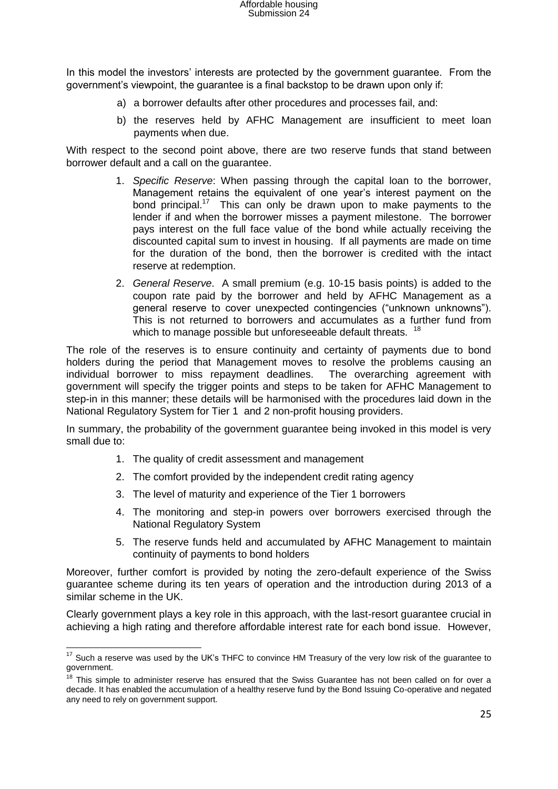In this model the investors' interests are protected by the government guarantee. From the government's viewpoint, the guarantee is a final backstop to be drawn upon only if:

- a) a borrower defaults after other procedures and processes fail, and:
- b) the reserves held by AFHC Management are insufficient to meet loan payments when due.

With respect to the second point above, there are two reserve funds that stand between borrower default and a call on the guarantee.

- 1. *Specific Reserve*: When passing through the capital loan to the borrower, Management retains the equivalent of one year's interest payment on the bond principal.<sup>17</sup> This can only be drawn upon to make payments to the lender if and when the borrower misses a payment milestone. The borrower pays interest on the full face value of the bond while actually receiving the discounted capital sum to invest in housing. If all payments are made on time for the duration of the bond, then the borrower is credited with the intact reserve at redemption.
- 2. *General Reserve*. A small premium (e.g. 10-15 basis points) is added to the coupon rate paid by the borrower and held by AFHC Management as a general reserve to cover unexpected contingencies ("unknown unknowns"). This is not returned to borrowers and accumulates as a further fund from which to manage possible but unforeseeable default threats. <sup>18</sup>

The role of the reserves is to ensure continuity and certainty of payments due to bond holders during the period that Management moves to resolve the problems causing an individual borrower to miss repayment deadlines. The overarching agreement with government will specify the trigger points and steps to be taken for AFHC Management to step-in in this manner; these details will be harmonised with the procedures laid down in the National Regulatory System for Tier 1 and 2 non-profit housing providers.

In summary, the probability of the government guarantee being invoked in this model is very small due to:

1. The quality of credit assessment and management

 $\overline{a}$ 

- 2. The comfort provided by the independent credit rating agency
- 3. The level of maturity and experience of the Tier 1 borrowers
- 4. The monitoring and step-in powers over borrowers exercised through the National Regulatory System
- 5. The reserve funds held and accumulated by AFHC Management to maintain continuity of payments to bond holders

Moreover, further comfort is provided by noting the zero-default experience of the Swiss guarantee scheme during its ten years of operation and the introduction during 2013 of a similar scheme in the UK.

Clearly government plays a key role in this approach, with the last-resort guarantee crucial in achieving a high rating and therefore affordable interest rate for each bond issue. However,

 $17$  Such a reserve was used by the UK's THFC to convince HM Treasury of the very low risk of the guarantee to government.

<sup>&</sup>lt;sup>18</sup> This simple to administer reserve has ensured that the Swiss Guarantee has not been called on for over a decade. It has enabled the accumulation of a healthy reserve fund by the Bond Issuing Co-operative and negated any need to rely on government support.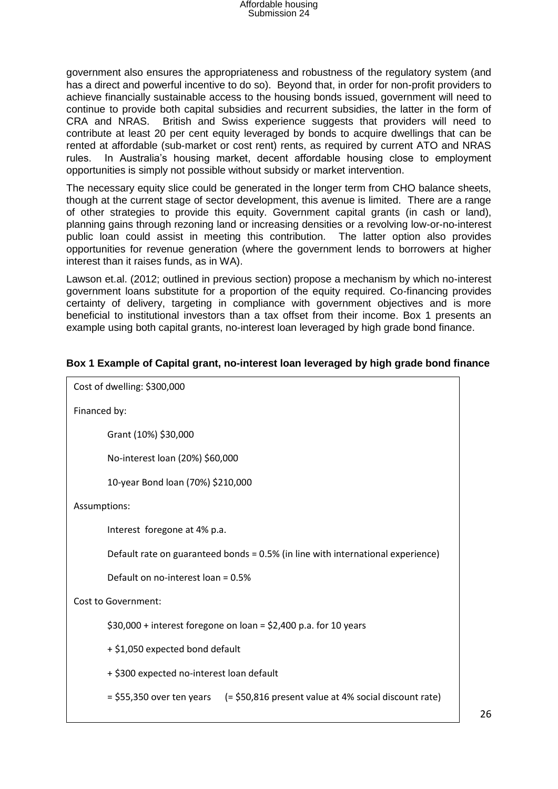government also ensures the appropriateness and robustness of the regulatory system (and has a direct and powerful incentive to do so). Beyond that, in order for non-profit providers to achieve financially sustainable access to the housing bonds issued, government will need to continue to provide both capital subsidies and recurrent subsidies, the latter in the form of CRA and NRAS. British and Swiss experience suggests that providers will need to contribute at least 20 per cent equity leveraged by bonds to acquire dwellings that can be rented at affordable (sub-market or cost rent) rents, as required by current ATO and NRAS rules. In Australia's housing market, decent affordable housing close to employment opportunities is simply not possible without subsidy or market intervention.

The necessary equity slice could be generated in the longer term from CHO balance sheets, though at the current stage of sector development, this avenue is limited. There are a range of other strategies to provide this equity. Government capital grants (in cash or land), planning gains through rezoning land or increasing densities or a revolving low-or-no-interest public loan could assist in meeting this contribution. The latter option also provides opportunities for revenue generation (where the government lends to borrowers at higher interest than it raises funds, as in WA).

Lawson et.al. (2012; outlined in previous section) propose a mechanism by which no-interest government loans substitute for a proportion of the equity required. Co-financing provides certainty of delivery, targeting in compliance with government objectives and is more beneficial to institutional investors than a tax offset from their income. Box 1 presents an example using both capital grants, no-interest loan leveraged by high grade bond finance.

| Cost of dwelling: \$300,000                                                     |
|---------------------------------------------------------------------------------|
| Financed by:                                                                    |
| Grant (10%) \$30,000                                                            |
| No-interest loan (20%) \$60,000                                                 |
| 10-year Bond loan (70%) \$210,000                                               |
| Assumptions:                                                                    |
| Interest foregone at 4% p.a.                                                    |
| Default rate on guaranteed bonds = 0.5% (in line with international experience) |
| Default on no-interest loan = 0.5%                                              |
| <b>Cost to Government:</b>                                                      |
| $$30,000 +$ interest foregone on loan = \$2,400 p.a. for 10 years               |
| + \$1,050 expected bond default                                                 |
| + \$300 expected no-interest loan default                                       |
| = \$55,350 over ten years (= \$50,816 present value at 4% social discount rate) |
|                                                                                 |

#### **Box 1 Example of Capital grant, no-interest loan leveraged by high grade bond finance**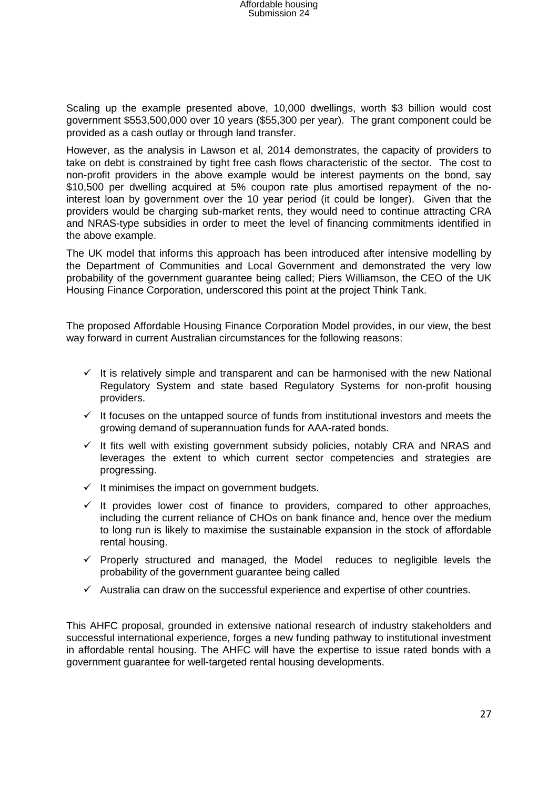Scaling up the example presented above, 10,000 dwellings, worth \$3 billion would cost government \$553,500,000 over 10 years (\$55,300 per year). The grant component could be provided as a cash outlay or through land transfer.

However, as the analysis in Lawson et al, 2014 demonstrates, the capacity of providers to take on debt is constrained by tight free cash flows characteristic of the sector. The cost to non-profit providers in the above example would be interest payments on the bond, say \$10,500 per dwelling acquired at 5% coupon rate plus amortised repayment of the nointerest loan by government over the 10 year period (it could be longer). Given that the providers would be charging sub-market rents, they would need to continue attracting CRA and NRAS-type subsidies in order to meet the level of financing commitments identified in the above example.

The UK model that informs this approach has been introduced after intensive modelling by the Department of Communities and Local Government and demonstrated the very low probability of the government guarantee being called; Piers Williamson, the CEO of the UK Housing Finance Corporation, underscored this point at the project Think Tank.

The proposed Affordable Housing Finance Corporation Model provides, in our view, the best way forward in current Australian circumstances for the following reasons:

- $\checkmark$  It is relatively simple and transparent and can be harmonised with the new National Regulatory System and state based Regulatory Systems for non-profit housing providers.
- $\checkmark$  It focuses on the untapped source of funds from institutional investors and meets the growing demand of superannuation funds for AAA-rated bonds.
- $\checkmark$  It fits well with existing government subsidy policies, notably CRA and NRAS and leverages the extent to which current sector competencies and strategies are progressing.
- $\checkmark$  It minimises the impact on government budgets.
- $\checkmark$  It provides lower cost of finance to providers, compared to other approaches, including the current reliance of CHOs on bank finance and, hence over the medium to long run is likely to maximise the sustainable expansion in the stock of affordable rental housing.
- $\checkmark$  Properly structured and managed, the Model reduces to negligible levels the probability of the government guarantee being called
- $\checkmark$  Australia can draw on the successful experience and expertise of other countries.

This AHFC proposal, grounded in extensive national research of industry stakeholders and successful international experience, forges a new funding pathway to institutional investment in affordable rental housing. The AHFC will have the expertise to issue rated bonds with a government guarantee for well-targeted rental housing developments.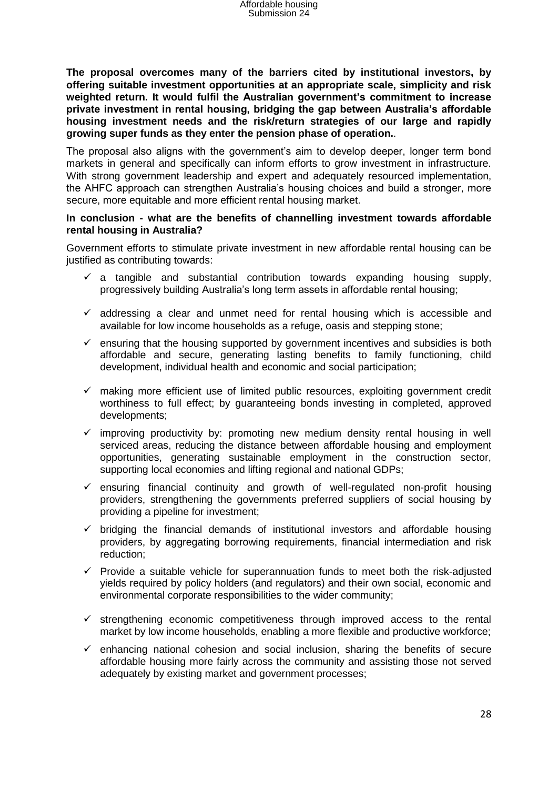**The proposal overcomes many of the barriers cited by institutional investors, by offering suitable investment opportunities at an appropriate scale, simplicity and risk weighted return. It would fulfil the Australian government's commitment to increase private investment in rental housing, bridging the gap between Australia's affordable housing investment needs and the risk/return strategies of our large and rapidly growing super funds as they enter the pension phase of operation.**.

The proposal also aligns with the government's aim to develop deeper, longer term bond markets in general and specifically can inform efforts to grow investment in infrastructure. With strong government leadership and expert and adequately resourced implementation, the AHFC approach can strengthen Australia's housing choices and build a stronger, more secure, more equitable and more efficient rental housing market.

#### **In conclusion - what are the benefits of channelling investment towards affordable rental housing in Australia?**

Government efforts to stimulate private investment in new affordable rental housing can be justified as contributing towards:

- $\checkmark$  a tangible and substantial contribution towards expanding housing supply, progressively building Australia's long term assets in affordable rental housing;
- $\checkmark$  addressing a clear and unmet need for rental housing which is accessible and available for low income households as a refuge, oasis and stepping stone;
- $\checkmark$  ensuring that the housing supported by government incentives and subsidies is both affordable and secure, generating lasting benefits to family functioning, child development, individual health and economic and social participation;
- $\checkmark$  making more efficient use of limited public resources, exploiting government credit worthiness to full effect; by guaranteeing bonds investing in completed, approved developments;
- $\checkmark$  improving productivity by: promoting new medium density rental housing in well serviced areas, reducing the distance between affordable housing and employment opportunities, generating sustainable employment in the construction sector, supporting local economies and lifting regional and national GDPs;
- $\checkmark$  ensuring financial continuity and growth of well-regulated non-profit housing providers, strengthening the governments preferred suppliers of social housing by providing a pipeline for investment;
- $\checkmark$  bridging the financial demands of institutional investors and affordable housing providers, by aggregating borrowing requirements, financial intermediation and risk reduction;
- $\checkmark$  Provide a suitable vehicle for superannuation funds to meet both the risk-adjusted yields required by policy holders (and regulators) and their own social, economic and environmental corporate responsibilities to the wider community;
- $\checkmark$  strengthening economic competitiveness through improved access to the rental market by low income households, enabling a more flexible and productive workforce;
- $\checkmark$  enhancing national cohesion and social inclusion, sharing the benefits of secure affordable housing more fairly across the community and assisting those not served adequately by existing market and government processes;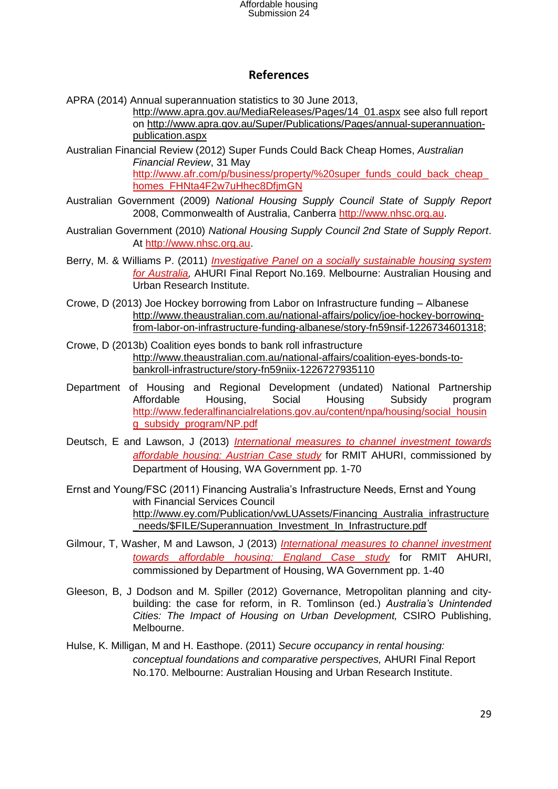### **References**

APRA (2014) Annual superannuation statistics to 30 June 2013,

[http://www.apra.gov.au/MediaReleases/Pages/14\\_01.aspx](http://www.apra.gov.au/MediaReleases/Pages/14_01.aspx) see also full report on [http://www.apra.gov.au/Super/Publications/Pages/annual-superannuation](http://www.apra.gov.au/Super/Publications/Pages/annual-superannuation-publication.aspx)[publication.aspx](http://www.apra.gov.au/Super/Publications/Pages/annual-superannuation-publication.aspx)

Australian Financial Review (2012) Super Funds Could Back Cheap Homes, *Australian Financial Review*, 31 May http://www.afr.com/p/business/property/%20super\_funds\_could\_back\_cheap [homes\\_FHNta4F2w7uHhec8DfjmGN](http://www.afr.com/p/business/property/%20super_funds_could_back_cheap_homes_FHNta4F2w7uHhec8DfjmGN)

- Australian Government (2009) *National Housing Supply Council State of Supply Report* 2008, Commonwealth of Australia, Canberra [http://www.nhsc.org.au.](http://www.nhsc.org.au/)
- Australian Government (2010) *National Housing Supply Council 2nd State of Supply Report*. At [http://www.nhsc.org.au.](http://www.nhsc.org.au/)
- Berry, M. & Williams P. (2011) *[Investigative Panel on a socially sustainable housing system](http://www.ahuri.edu.au/publications/projects/p30637)  [for Australia,](http://www.ahuri.edu.au/publications/projects/p30637)* AHURI Final Report No.169. Melbourne: Australian Housing and Urban Research Institute.
- Crowe, D (2013) Joe Hockey borrowing from Labor on Infrastructure funding Albanese [http://www.theaustralian.com.au/national-affairs/policy/joe-hockey-borrowing](http://www.theaustralian.com.au/national-affairs/policy/joe-hockey-borrowing-from-labor-on-infrastructure-funding-albanese/story-fn59nsif-1226734601318)[from-labor-on-infrastructure-funding-albanese/story-fn59nsif-1226734601318;](http://www.theaustralian.com.au/national-affairs/policy/joe-hockey-borrowing-from-labor-on-infrastructure-funding-albanese/story-fn59nsif-1226734601318)
- Crowe, D (2013b) Coalition eyes bonds to bank roll infrastructure [http://www.theaustralian.com.au/national-affairs/coalition-eyes-bonds-to](http://www.theaustralian.com.au/national-affairs/coalition-eyes-bonds-to-bankroll-infrastructure/story-fn59niix-1226727935110)[bankroll-infrastructure/story-fn59niix-1226727935110](http://www.theaustralian.com.au/national-affairs/coalition-eyes-bonds-to-bankroll-infrastructure/story-fn59niix-1226727935110)
- Department of Housing and Regional Development (undated) National Partnership Affordable Housing, Social Housing Subsidy program [http://www.federalfinancialrelations.gov.au/content/npa/housing/social\\_housin](http://www.federalfinancialrelations.gov.au/content/npa/housing/social_housing_subsidy_program/NP.pdf) [g\\_subsidy\\_program/NP.pdf](http://www.federalfinancialrelations.gov.au/content/npa/housing/social_housing_subsidy_program/NP.pdf)
- Deutsch, E and Lawson, J (2013) *[International measures to channel investment towards](http://www.ahuri.edu.au/publications/projects/p30440)  [affordable housing: Austrian Case study](http://www.ahuri.edu.au/publications/projects/p30440)* for RMIT AHURI, commissioned by Department of Housing, WA Government pp. 1-70
- Ernst and Young/FSC (2011) Financing Australia's Infrastructure Needs, Ernst and Young with Financial Services Council [http://www.ey.com/Publication/vwLUAssets/Financing\\_Australia\\_infrastructure](http://www.ey.com/Publication/vwLUAssets/Financing_Australia_infrastructure_needs/$FILE/Superannuation_Investment_In_Infrastructure.pdf) needs/\$FILE/Superannuation\_Investment\_In\_Infrastructure.pdf
- Gilmour, T, Washer, M and Lawson, J (2013) *[International measures to channel investment](http://www.ahuri.edu.au/publications/projects/p30440)  [towards affordable housing: England Case study](http://www.ahuri.edu.au/publications/projects/p30440)* for RMIT AHURI, commissioned by Department of Housing, WA Government pp. 1-40
- Gleeson, B, J Dodson and M. Spiller (2012) Governance, Metropolitan planning and citybuilding: the case for reform, in R. Tomlinson (ed.) *Australia's Unintended Cities: The Impact of Housing on Urban Development,* CSIRO Publishing, Melbourne.
- Hulse, K. Milligan, M and H. Easthope. (2011) *Secure occupancy in rental housing: conceptual foundations and comparative perspectives,* AHURI Final Report No.170. Melbourne: Australian Housing and Urban Research Institute.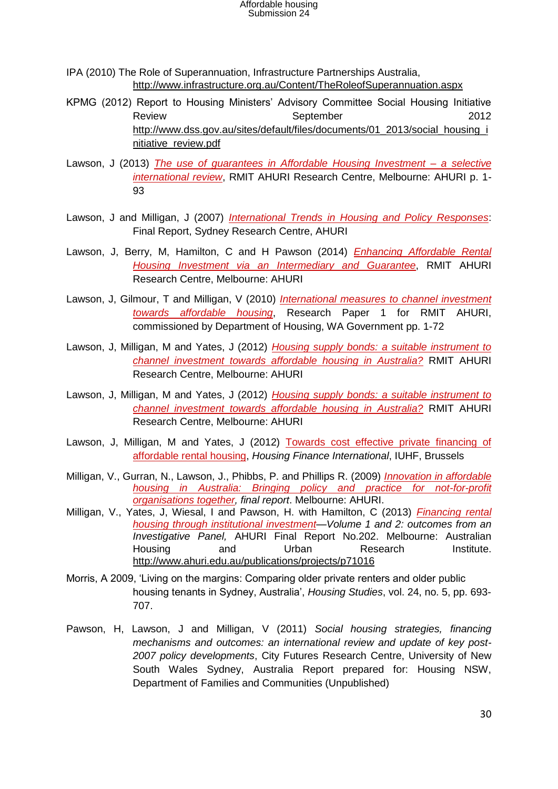Affordable housing Submission 24

- IPA (2010) The Role of Superannuation, Infrastructure Partnerships Australia, <http://www.infrastructure.org.au/Content/TheRoleofSuperannuation.aspx>
- KPMG (2012) Report to Housing Ministers' Advisory Committee Social Housing Initiative Review **September** 2012 [http://www.dss.gov.au/sites/default/files/documents/01\\_2013/social\\_housing\\_i](http://www.dss.gov.au/sites/default/files/documents/01_2013/social_housing_initiative_review.pdf) [nitiative\\_review.pdf](http://www.dss.gov.au/sites/default/files/documents/01_2013/social_housing_initiative_review.pdf)
- Lawson, J (2013) *[The use of guarantees in Affordable Housing Investment –](http://www.ahuri.edu.au/publications/projects/p53019/) a selective [international review](http://www.ahuri.edu.au/publications/projects/p53019/)*, RMIT AHURI Research Centre, Melbourne: AHURI p. 1- 93
- Lawson, J and Milligan, J (2007) *[International Trends in Housing and Policy Responses](http://www.ahuri.edu.au/publications/projects/p60323)*: Final Report, Sydney Research Centre, AHURI
- Lawson, J, Berry, M, Hamilton, C and H Pawson (2014) *[Enhancing Affordable Rental](http://www.ahuri.edu.au/publications/projects/p53019/)  [Housing Investment via an Intermediary and Guarantee](http://www.ahuri.edu.au/publications/projects/p53019/)*, RMIT AHURI Research Centre, Melbourne: AHURI
- Lawson, J, Gilmour, T and Milligan, V (2010) *[International measures to channel investment](http://www.ahuri.edu.au/publications/projects/p30440)  [towards affordable housing](http://www.ahuri.edu.au/publications/projects/p30440)*, Research Paper 1 for RMIT AHURI, commissioned by Department of Housing, WA Government pp. 1-72
- Lawson, J, Milligan, M and Yates, J (2012) *[Housing supply bonds: a suitable instrument to](http://www.ahuri.edu.au/publications/projects/p30652)  [channel investment towards affordable housing in Australia?](http://www.ahuri.edu.au/publications/projects/p30652)* RMIT AHURI Research Centre, Melbourne: AHURI
- Lawson, J, Milligan, M and Yates, J (2012) *[Housing supply bonds: a suitable instrument to](http://www.ahuri.edu.au/publications/projects/p30652)  [channel investment towards affordable housing in Australia?](http://www.ahuri.edu.au/publications/projects/p30652)* RMIT AHURI Research Centre, Melbourne: AHURI
- Lawson, J, Milligan, M and Yates, J (2012) Towards cost effective private financing of [affordable rental housing,](http://www.housingfinance.org/publications/hfi-archives) *Housing Finance International*, IUHF, Brussels
- Milligan, V., Gurran, N., Lawson, J., Phibbs, P. and Phillips R. (2009) *[Innovation in affordable](http://www.ahuri.edu.au/publications/projects/p60504)  [housing in Australia: Bringing policy and practice for not-for-profit](http://www.ahuri.edu.au/publications/projects/p60504)  [organisations together,](http://www.ahuri.edu.au/publications/projects/p60504) final report*. Melbourne: AHURI.
- Milligan, V., Yates, J, Wiesal, I and Pawson, H. with Hamilton, C (2013) *[Financing rental](http://www.ahuri.edu.au/publications/projects/p71016)  [housing through institutional investment—](http://www.ahuri.edu.au/publications/projects/p71016)Volume 1 and 2: outcomes from an Investigative Panel,* AHURI Final Report No.202. Melbourne: Australian Housing and Urban Research Institute. <http://www.ahuri.edu.au/publications/projects/p71016>
- Morris, A 2009, 'Living on the margins: Comparing older private renters and older public housing tenants in Sydney, Australia', *Housing Studies*, vol. 24, no. 5, pp. 693- 707.
- Pawson, H, Lawson, J and Milligan, V (2011) *Social housing strategies, financing mechanisms and outcomes: an international review and update of key post-2007 policy developments*, City Futures Research Centre, University of New South Wales Sydney, Australia Report prepared for: Housing NSW, Department of Families and Communities (Unpublished)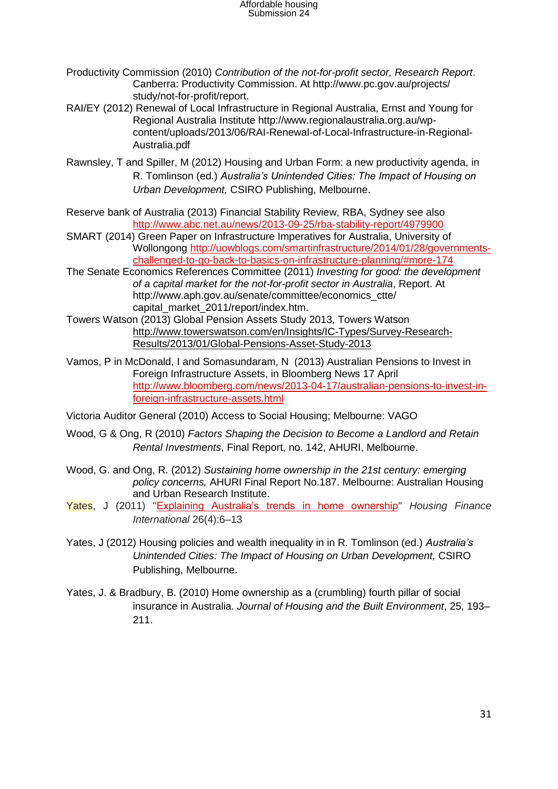- Productivity Commission (2010) *Contribution of the not-for-profit sector, Research Report*. Canberra: Productivity Commission. At http://www.pc.gov.au/projects/ study/not-for-profit/report.
- RAI/EY (2012) Renewal of Local Infrastructure in Regional Australia, Ernst and Young for Regional Australia Institute http://www.regionalaustralia.org.au/wpcontent/uploads/2013/06/RAI-Renewal-of-Local-Infrastructure-in-Regional-Australia.pdf
- Rawnsley, T and Spiller, M (2012) Housing and Urban Form: a new productivity agenda, in R. Tomlinson (ed.) *Australia's Unintended Cities: The Impact of Housing on Urban Development,* CSIRO Publishing, Melbourne.
- Reserve bank of Australia (2013) Financial Stability Review, RBA, Sydney see also <http://www.abc.net.au/news/2013-09-25/rba-stability-report/4979900>
- SMART (2014) Green Paper on Infrastructure Imperatives for Australia, University of Wollongong [http://uowblogs.com/smartinfrastructure/2014/01/28/governments](http://uowblogs.com/smartinfrastructure/2014/01/28/governments-challenged-to-go-back-to-basics-on-infrastructure-planning/#more-174)[challenged-to-go-back-to-basics-on-infrastructure-planning/#more-174](http://uowblogs.com/smartinfrastructure/2014/01/28/governments-challenged-to-go-back-to-basics-on-infrastructure-planning/#more-174)
- The Senate Economics References Committee (2011) *Investing for good: the development of a capital market for the not-for-profit sector in Australia*, Report. At http://www.aph.gov.au/senate/committee/economics\_ctte/ capital\_market\_2011/report/index.htm.
- Towers Watson (2013) Global Pension Assets Study 2013, Towers Watson [http://www.towerswatson.com/en/Insights/IC-Types/Survey-Research-](http://www.towerswatson.com/en/Insights/IC-Types/Survey-Research-Results/2013/01/Global-Pensions-Asset-Study-2013)[Results/2013/01/Global-Pensions-Asset-Study-2013](http://www.towerswatson.com/en/Insights/IC-Types/Survey-Research-Results/2013/01/Global-Pensions-Asset-Study-2013)
- Vamos, P in McDonald, I and Somasundaram, N (2013) Australian Pensions to Invest in Foreign Infrastructure Assets, in Bloomberg News 17 April [http://www.bloomberg.com/news/2013-04-17/australian-pensions-to-invest-in](http://www.bloomberg.com/news/2013-04-17/australian-pensions-to-invest-in-foreign-infrastructure-assets.html)[foreign-infrastructure-assets.html](http://www.bloomberg.com/news/2013-04-17/australian-pensions-to-invest-in-foreign-infrastructure-assets.html)
- Victoria Auditor General (2010) Access to Social Housing; Melbourne: VAGO
- Wood, G & Ong, R (2010) *Factors Shaping the Decision to Become a Landlord and Retain Rental Investments*, Final Report, no. 142, AHURI, Melbourne.
- Wood, G. and Ong, R. (2012) *Sustaining home ownership in the 21st century: emerging policy concerns,* AHURI Final Report No.187. Melbourne: Australian Housing and Urban Research Institute.
- Yates, J (2011) ["Explaining Australia's trends in home ownership"](http://www.housingfinance.org/uploads/Publicationsmanager/HFI%20Winter%202011.pdf#page=6) *Housing Finance International* 26(4):6–13
- Yates, J (2012) Housing policies and wealth inequality in in R. Tomlinson (ed.) *Australia's Unintended Cities: The Impact of Housing on Urban Development,* CSIRO Publishing, Melbourne.
- Yates, J. & Bradbury, B. (2010) Home ownership as a (crumbling) fourth pillar of social insurance in Australia. *Journal of Housing and the Built Environment*, 25, 193– 211.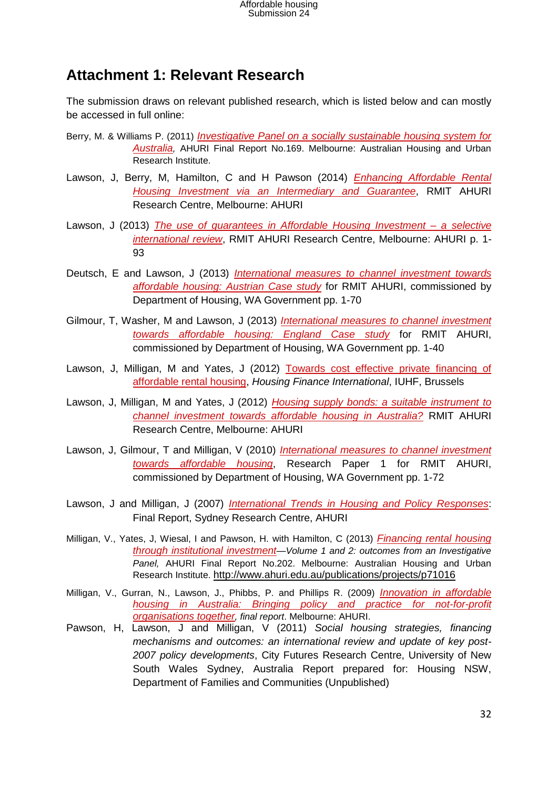## **Attachment 1: Relevant Research**

The submission draws on relevant published research, which is listed below and can mostly be accessed in full online:

- Berry, M. & Williams P. (2011) *[Investigative Panel on a socially sustainable housing system for](http://www.ahuri.edu.au/publications/projects/p30637)  [Australia](http://www.ahuri.edu.au/publications/projects/p30637),* AHURI Final Report No.169. Melbourne: Australian Housing and Urban Research Institute.
- Lawson, J, Berry, M, Hamilton, C and H Pawson (2014) *[Enhancing Affordable Rental](http://www.ahuri.edu.au/publications/projects/p53019/)  [Housing Investment via an Intermediary and Guarantee](http://www.ahuri.edu.au/publications/projects/p53019/)*, RMIT AHURI Research Centre, Melbourne: AHURI
- Lawson, J (2013) *[The use of guarantees in Affordable Housing Investment –](http://www.ahuri.edu.au/publications/projects/p53019/) a selective [international review](http://www.ahuri.edu.au/publications/projects/p53019/)*, RMIT AHURI Research Centre, Melbourne: AHURI p. 1- 93
- Deutsch, E and Lawson, J (2013) *[International measures to channel investment towards](http://www.ahuri.edu.au/publications/projects/p30440)  [affordable housing: Austrian Case study](http://www.ahuri.edu.au/publications/projects/p30440)* for RMIT AHURI, commissioned by Department of Housing, WA Government pp. 1-70
- Gilmour, T, Washer, M and Lawson, J (2013) *[International measures to channel investment](http://www.ahuri.edu.au/publications/projects/p30440)  [towards affordable housing: England Case study](http://www.ahuri.edu.au/publications/projects/p30440)* for RMIT AHURI, commissioned by Department of Housing, WA Government pp. 1-40
- Lawson, J, Milligan, M and Yates, J (2012) [Towards cost effective private financing of](http://www.housingfinance.org/publications/hfi-archives)  [affordable rental housing,](http://www.housingfinance.org/publications/hfi-archives) *Housing Finance International*, IUHF, Brussels
- Lawson, J, Milligan, M and Yates, J (2012) *[Housing supply bonds: a suitable instrument to](http://www.ahuri.edu.au/publications/projects/p30652)  [channel investment towards affordable housing in Australia?](http://www.ahuri.edu.au/publications/projects/p30652)* RMIT AHURI Research Centre, Melbourne: AHURI
- Lawson, J, Gilmour, T and Milligan, V (2010) *[International measures to channel investment](http://www.ahuri.edu.au/publications/projects/p30440)  [towards affordable housing](http://www.ahuri.edu.au/publications/projects/p30440)*, Research Paper 1 for RMIT AHURI, commissioned by Department of Housing, WA Government pp. 1-72
- Lawson, J and Milligan, J (2007) *[International Trends in Housing and Policy Responses](http://www.ahuri.edu.au/publications/projects/p60323)*: Final Report, Sydney Research Centre, AHURI
- Milligan, V., Yates, J, Wiesal, I and Pawson, H. with Hamilton, C (2013) *[Financing rental housing](http://www.ahuri.edu.au/publications/projects/p71016)  [through institutional investment](http://www.ahuri.edu.au/publications/projects/p71016)—Volume 1 and 2: outcomes from an Investigative Panel,* AHURI Final Report No.202. Melbourne: Australian Housing and Urban Research Institute. <http://www.ahuri.edu.au/publications/projects/p71016>
- Milligan, V., Gurran, N., Lawson, J., Phibbs, P. and Phillips R. (2009) *[Innovation in affordable](http://www.ahuri.edu.au/publications/projects/p60504)  [housing in Australia: Bringing policy and practice for not-for-profit](http://www.ahuri.edu.au/publications/projects/p60504)  [organisations together](http://www.ahuri.edu.au/publications/projects/p60504), final report*. Melbourne: AHURI.
- Pawson, H, Lawson, J and Milligan, V (2011) *Social housing strategies, financing mechanisms and outcomes: an international review and update of key post-2007 policy developments*, City Futures Research Centre, University of New South Wales Sydney, Australia Report prepared for: Housing NSW, Department of Families and Communities (Unpublished)